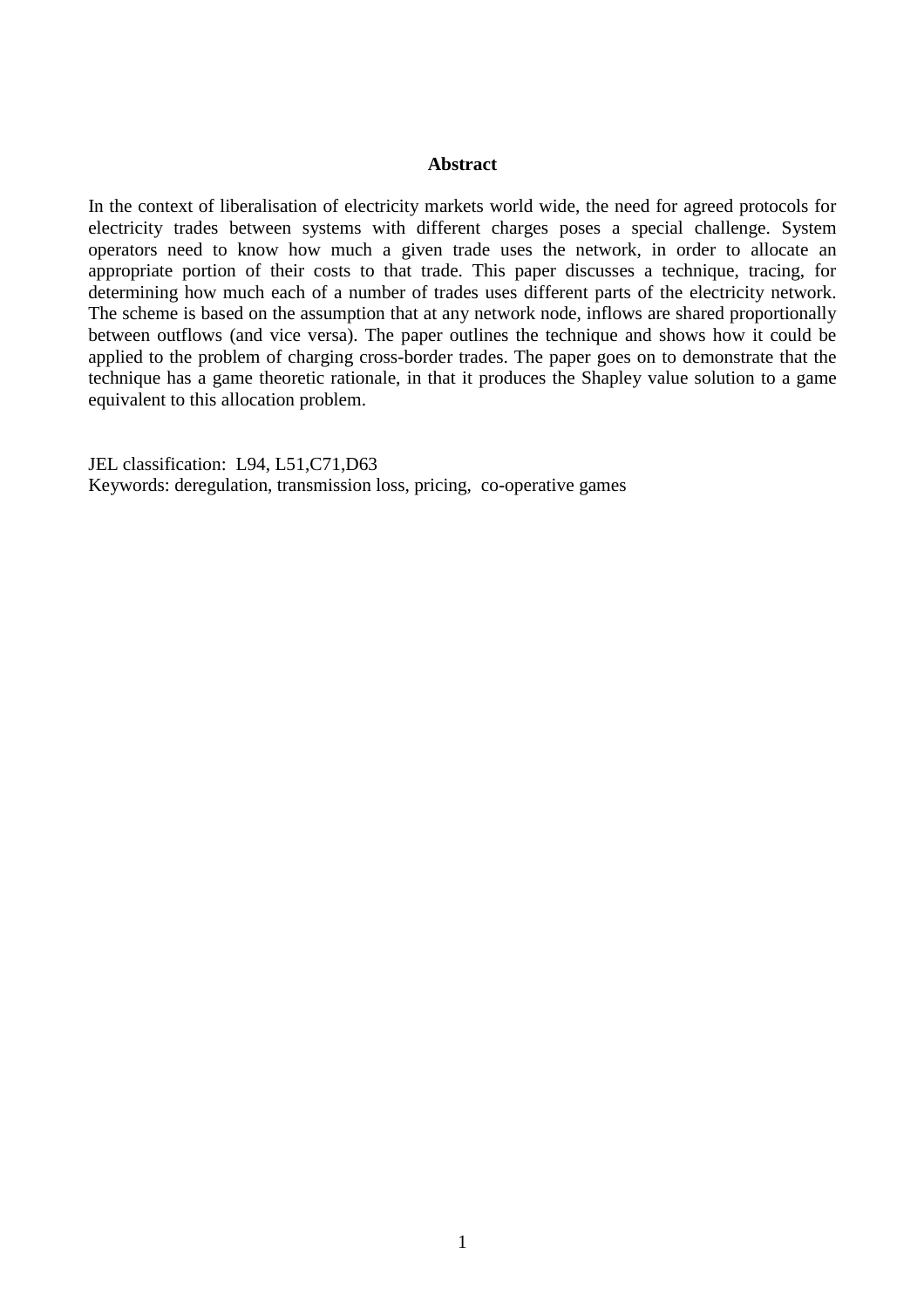### **Abstract**

In the context of liberalisation of electricity markets world wide, the need for agreed protocols for electricity trades between systems with different charges poses a special challenge. System operators need to know how much a given trade uses the network, in order to allocate an appropriate portion of their costs to that trade. This paper discusses a technique, tracing, for determining how much each of a number of trades uses different parts of the electricity network. The scheme is based on the assumption that at any network node, inflows are shared proportionally between outflows (and vice versa). The paper outlines the technique and shows how it could be applied to the problem of charging cross-border trades. The paper goes on to demonstrate that the technique has a game theoretic rationale, in that it produces the Shapley value solution to a game equivalent to this allocation problem.

JEL classification: L94, L51,C71,D63 Keywords: deregulation, transmission loss, pricing, co-operative games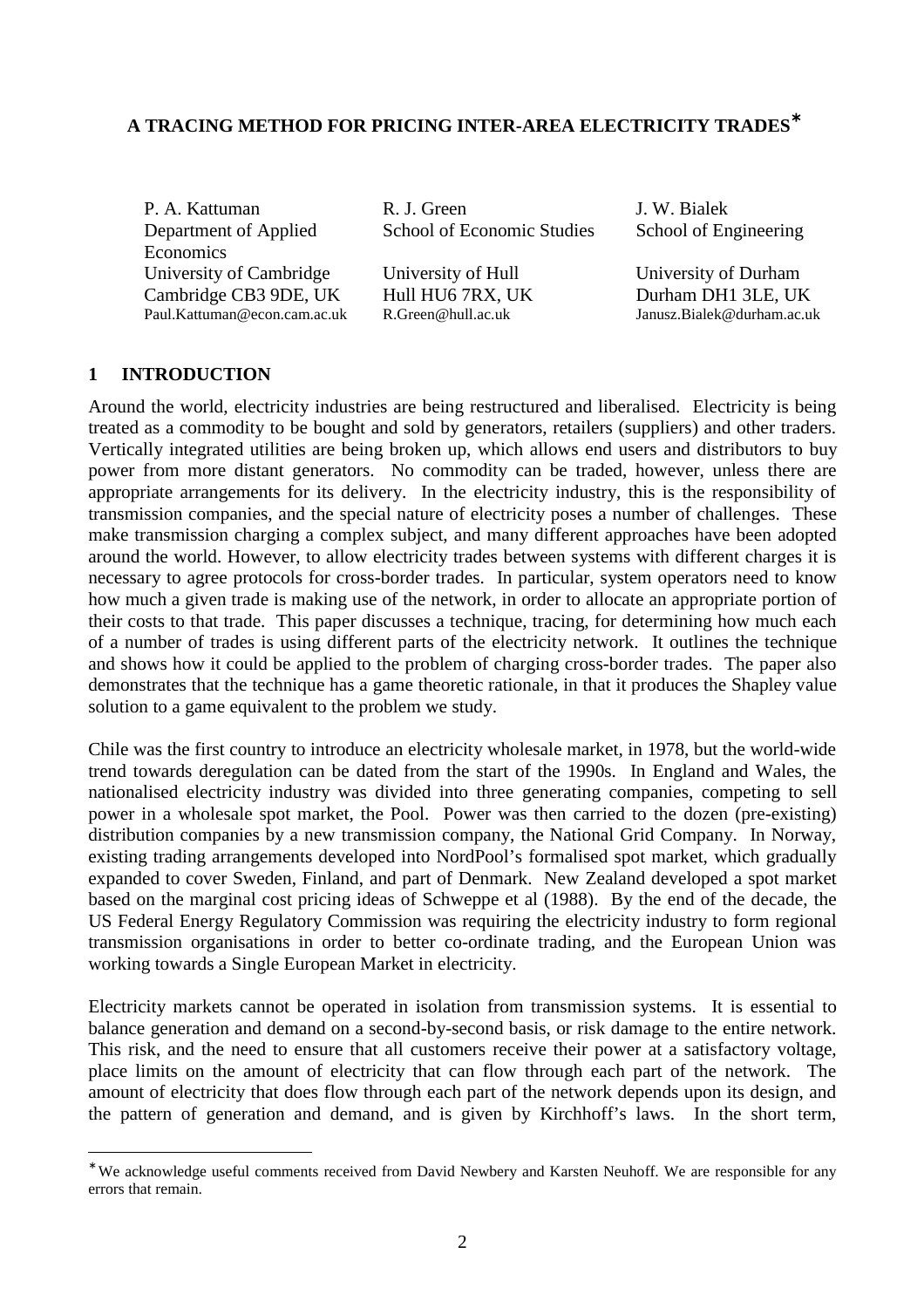## **A TRACING METHOD FOR PRICING INTER-AREA ELECTRICITY TRADES**<sup>∗</sup>

| R. J. Green                | J. W. Bialek               |
|----------------------------|----------------------------|
| School of Economic Studies | School of Engineering      |
|                            |                            |
| University of Hull         | University of Durham       |
| Hull HU6 7RX, UK           | Durham DH1 3LE, UK         |
| R.Green@hull.ac.uk         | Janusz.Bialek@durham.ac.uk |
|                            |                            |

## **1 INTRODUCTION**

 $\overline{a}$ 

Around the world, electricity industries are being restructured and liberalised. Electricity is being treated as a commodity to be bought and sold by generators, retailers (suppliers) and other traders. Vertically integrated utilities are being broken up, which allows end users and distributors to buy power from more distant generators. No commodity can be traded, however, unless there are appropriate arrangements for its delivery. In the electricity industry, this is the responsibility of transmission companies, and the special nature of electricity poses a number of challenges. These make transmission charging a complex subject, and many different approaches have been adopted around the world. However, to allow electricity trades between systems with different charges it is necessary to agree protocols for cross-border trades. In particular, system operators need to know how much a given trade is making use of the network, in order to allocate an appropriate portion of their costs to that trade. This paper discusses a technique, tracing, for determining how much each of a number of trades is using different parts of the electricity network. It outlines the technique and shows how it could be applied to the problem of charging cross-border trades. The paper also demonstrates that the technique has a game theoretic rationale, in that it produces the Shapley value solution to a game equivalent to the problem we study.

Chile was the first country to introduce an electricity wholesale market, in 1978, but the world-wide trend towards deregulation can be dated from the start of the 1990s. In England and Wales, the nationalised electricity industry was divided into three generating companies, competing to sell power in a wholesale spot market, the Pool. Power was then carried to the dozen (pre-existing) distribution companies by a new transmission company, the National Grid Company. In Norway, existing trading arrangements developed into NordPool's formalised spot market, which gradually expanded to cover Sweden, Finland, and part of Denmark. New Zealand developed a spot market based on the marginal cost pricing ideas of Schweppe et al (1988). By the end of the decade, the US Federal Energy Regulatory Commission was requiring the electricity industry to form regional transmission organisations in order to better co-ordinate trading, and the European Union was working towards a Single European Market in electricity.

Electricity markets cannot be operated in isolation from transmission systems. It is essential to balance generation and demand on a second-by-second basis, or risk damage to the entire network. This risk, and the need to ensure that all customers receive their power at a satisfactory voltage, place limits on the amount of electricity that can flow through each part of the network. The amount of electricity that does flow through each part of the network depends upon its design, and the pattern of generation and demand, and is given by Kirchhoff's laws. In the short term,

<sup>∗</sup> We acknowledge useful comments received from David Newbery and Karsten Neuhoff. We are responsible for any errors that remain.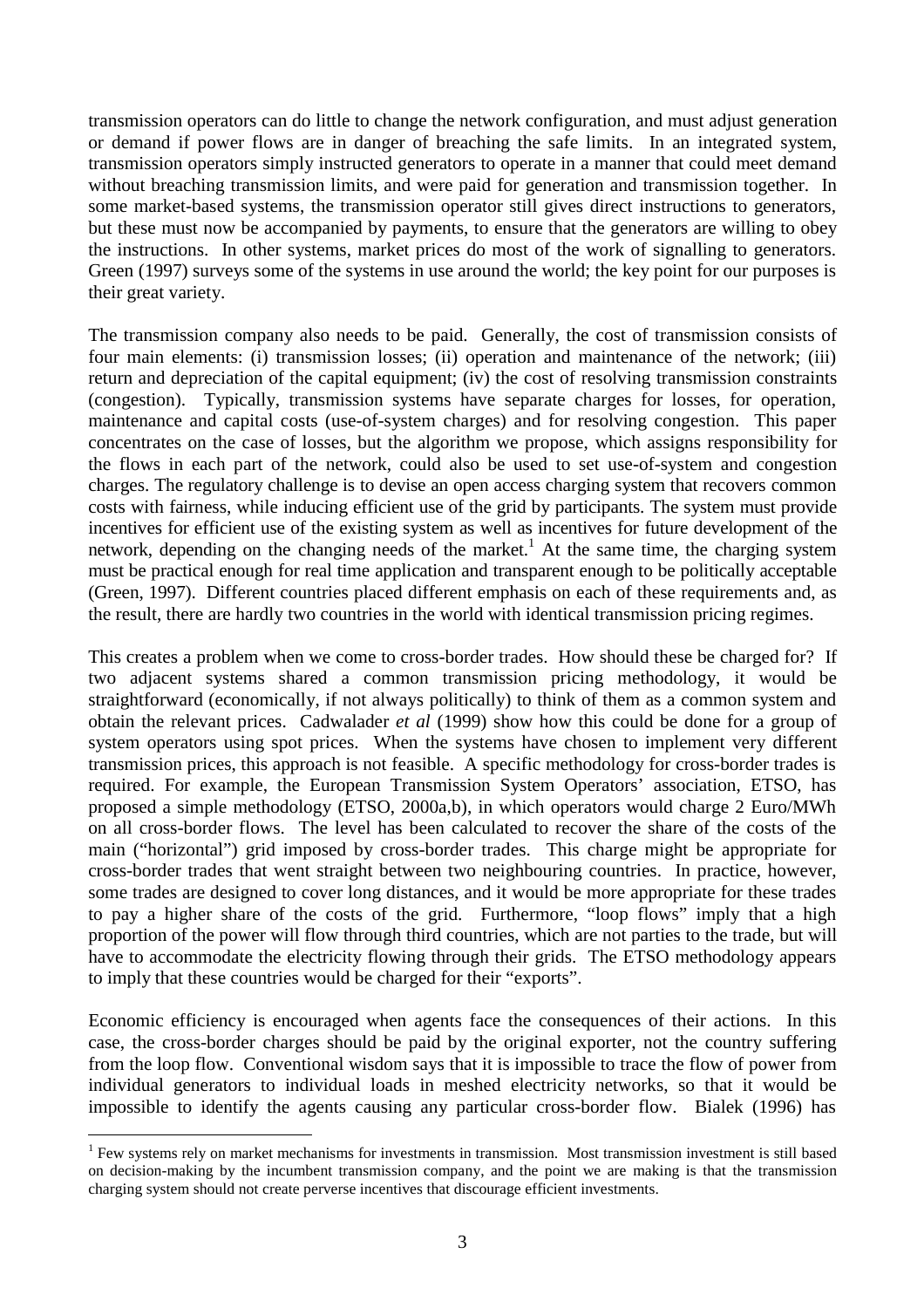transmission operators can do little to change the network configuration, and must adjust generation or demand if power flows are in danger of breaching the safe limits. In an integrated system, transmission operators simply instructed generators to operate in a manner that could meet demand without breaching transmission limits, and were paid for generation and transmission together. In some market-based systems, the transmission operator still gives direct instructions to generators, but these must now be accompanied by payments, to ensure that the generators are willing to obey the instructions. In other systems, market prices do most of the work of signalling to generators. Green (1997) surveys some of the systems in use around the world; the key point for our purposes is their great variety.

The transmission company also needs to be paid. Generally, the cost of transmission consists of four main elements: (i) transmission losses; (ii) operation and maintenance of the network; (iii) return and depreciation of the capital equipment; (iv) the cost of resolving transmission constraints (congestion). Typically, transmission systems have separate charges for losses, for operation, maintenance and capital costs (use-of-system charges) and for resolving congestion. This paper concentrates on the case of losses, but the algorithm we propose, which assigns responsibility for the flows in each part of the network, could also be used to set use-of-system and congestion charges. The regulatory challenge is to devise an open access charging system that recovers common costs with fairness, while inducing efficient use of the grid by participants. The system must provide incentives for efficient use of the existing system as well as incentives for future development of the network, depending on the changing needs of the market.<sup>1</sup> At the same time, the charging system must be practical enough for real time application and transparent enough to be politically acceptable (Green, 1997). Different countries placed different emphasis on each of these requirements and, as the result, there are hardly two countries in the world with identical transmission pricing regimes.

This creates a problem when we come to cross-border trades. How should these be charged for? If two adjacent systems shared a common transmission pricing methodology, it would be straightforward (economically, if not always politically) to think of them as a common system and obtain the relevant prices. Cadwalader *et al* (1999) show how this could be done for a group of system operators using spot prices. When the systems have chosen to implement very different transmission prices, this approach is not feasible. A specific methodology for cross-border trades is required. For example, the European Transmission System Operators' association, ETSO, has proposed a simple methodology (ETSO, 2000a,b), in which operators would charge 2 Euro/MWh on all cross-border flows. The level has been calculated to recover the share of the costs of the main ("horizontal") grid imposed by cross-border trades. This charge might be appropriate for cross-border trades that went straight between two neighbouring countries. In practice, however, some trades are designed to cover long distances, and it would be more appropriate for these trades to pay a higher share of the costs of the grid. Furthermore, "loop flows" imply that a high proportion of the power will flow through third countries, which are not parties to the trade, but will have to accommodate the electricity flowing through their grids. The ETSO methodology appears to imply that these countries would be charged for their "exports".

Economic efficiency is encouraged when agents face the consequences of their actions. In this case, the cross-border charges should be paid by the original exporter, not the country suffering from the loop flow. Conventional wisdom says that it is impossible to trace the flow of power from individual generators to individual loads in meshed electricity networks, so that it would be impossible to identify the agents causing any particular cross-border flow. Bialek (1996) has

 $\overline{a}$ 

<sup>&</sup>lt;sup>1</sup> Few systems rely on market mechanisms for investments in transmission. Most transmission investment is still based on decision-making by the incumbent transmission company, and the point we are making is that the transmission charging system should not create perverse incentives that discourage efficient investments.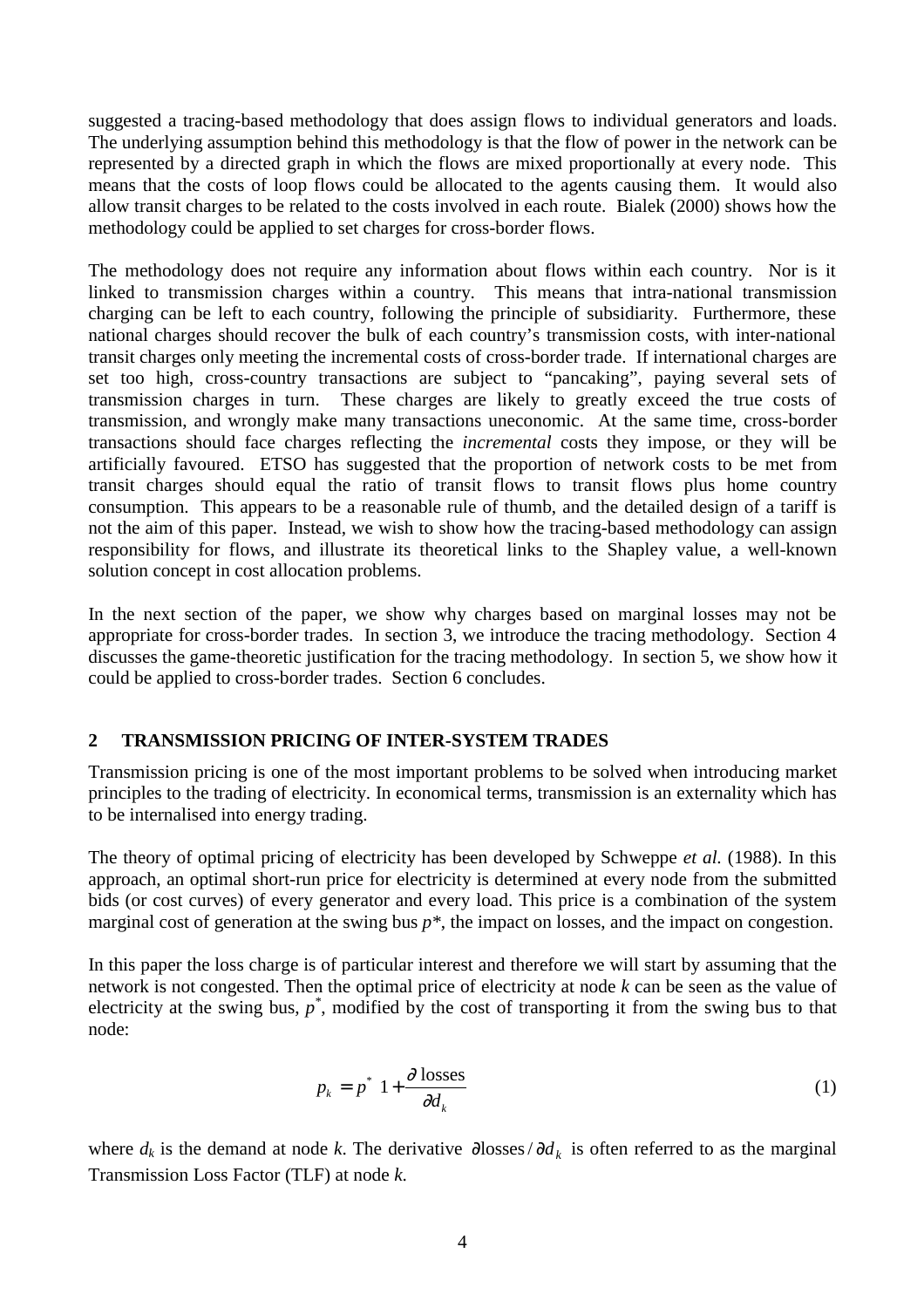suggested a tracing-based methodology that does assign flows to individual generators and loads. The underlying assumption behind this methodology is that the flow of power in the network can be represented by a directed graph in which the flows are mixed proportionally at every node. This means that the costs of loop flows could be allocated to the agents causing them. It would also allow transit charges to be related to the costs involved in each route. Bialek (2000) shows how the methodology could be applied to set charges for cross-border flows.

The methodology does not require any information about flows within each country. Nor is it linked to transmission charges within a country. This means that intra-national transmission charging can be left to each country, following the principle of subsidiarity. Furthermore, these national charges should recover the bulk of each country's transmission costs, with inter-national transit charges only meeting the incremental costs of cross-border trade. If international charges are set too high, cross-country transactions are subject to "pancaking", paying several sets of transmission charges in turn. These charges are likely to greatly exceed the true costs of transmission, and wrongly make many transactions uneconomic. At the same time, cross-border transactions should face charges reflecting the *incremental* costs they impose, or they will be artificially favoured. ETSO has suggested that the proportion of network costs to be met from transit charges should equal the ratio of transit flows to transit flows plus home country consumption. This appears to be a reasonable rule of thumb, and the detailed design of a tariff is not the aim of this paper. Instead, we wish to show how the tracing-based methodology can assign responsibility for flows, and illustrate its theoretical links to the Shapley value, a well-known solution concept in cost allocation problems.

In the next section of the paper, we show why charges based on marginal losses may not be appropriate for cross-border trades. In section 3, we introduce the tracing methodology. Section 4 discusses the game-theoretic justification for the tracing methodology. In section 5, we show how it could be applied to cross-border trades. Section 6 concludes.

# **2 TRANSMISSION PRICING OF INTER-SYSTEM TRADES**

Transmission pricing is one of the most important problems to be solved when introducing market principles to the trading of electricity. In economical terms, transmission is an externality which has to be internalised into energy trading.

The theory of optimal pricing of electricity has been developed by Schweppe *et al.* (1988). In this approach, an optimal short-run price for electricity is determined at every node from the submitted bids (or cost curves) of every generator and every load. This price is a combination of the system marginal cost of generation at the swing bus *p\**, the impact on losses, and the impact on congestion.

In this paper the loss charge is of particular interest and therefore we will start by assuming that the network is not congested. Then the optimal price of electricity at node *k* can be seen as the value of electricity at the swing bus,  $p^*$ , modified by the cost of transporting it from the swing bus to that node:

$$
p_k = p^* \left[ 1 + \frac{\partial \text{ losses}}{\partial d_k} \right] \tag{1}
$$

where  $d_k$  is the demand at node *k*. The derivative  $\partial \log s \le \partial d_k$  is often referred to as the marginal Transmission Loss Factor (TLF) at node *k.*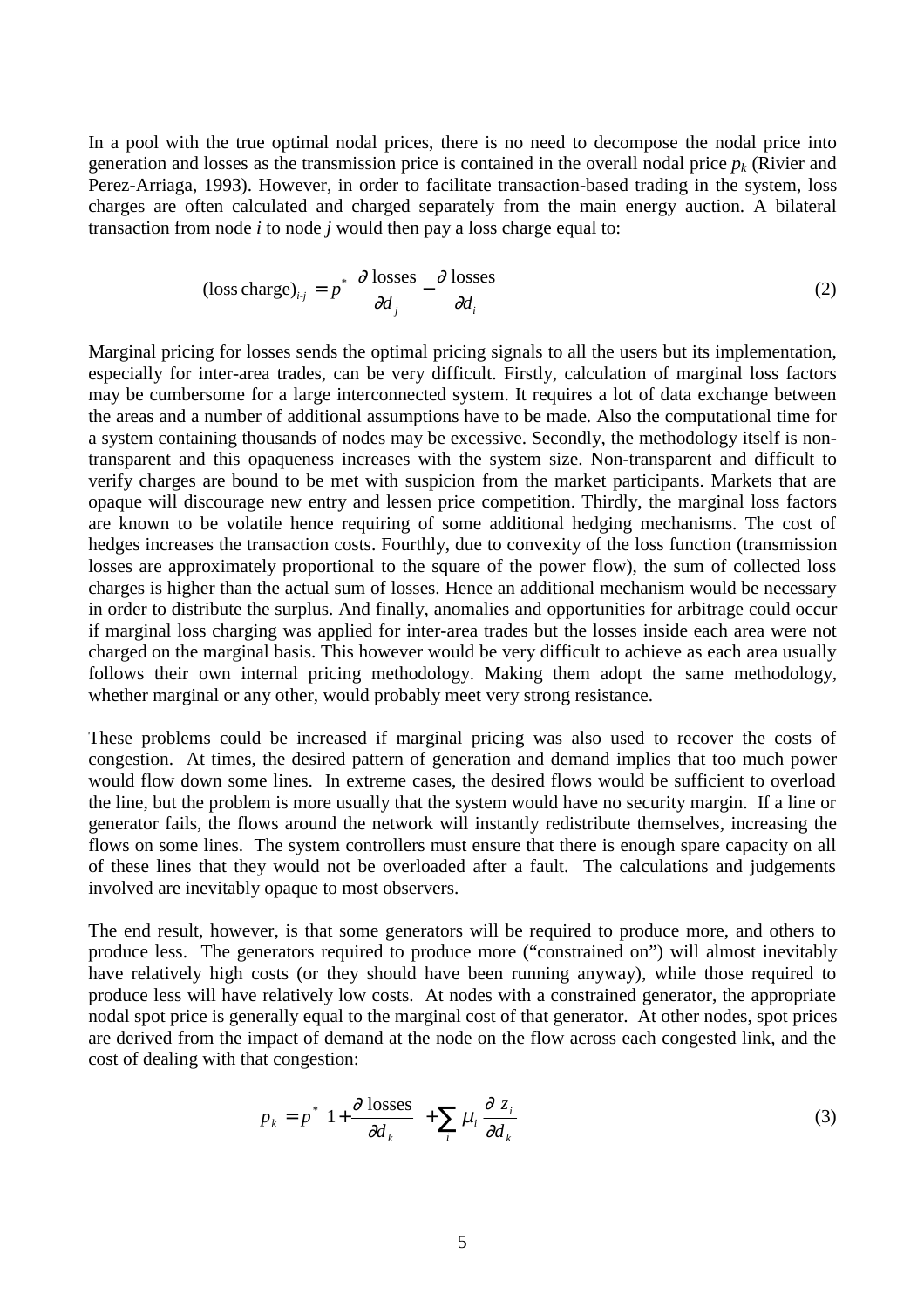In a pool with the true optimal nodal prices, there is no need to decompose the nodal price into generation and losses as the transmission price is contained in the overall nodal price  $p_k$  (Rivier and Perez-Arriaga, 1993). However, in order to facilitate transaction-based trading in the system, loss charges are often calculated and charged separately from the main energy auction. A bilateral transaction from node *i* to node *j* would then pay a loss charge equal to:

$$
(\text{loss charge})_{i,j} = p^* \left[ \frac{\partial \text{ losses}}{\partial d_j} - \frac{\partial \text{ losses}}{\partial d_i} \right]
$$
 (2)

Marginal pricing for losses sends the optimal pricing signals to all the users but its implementation, especially for inter-area trades, can be very difficult. Firstly, calculation of marginal loss factors may be cumbersome for a large interconnected system. It requires a lot of data exchange between the areas and a number of additional assumptions have to be made. Also the computational time for a system containing thousands of nodes may be excessive. Secondly, the methodology itself is nontransparent and this opaqueness increases with the system size. Non-transparent and difficult to verify charges are bound to be met with suspicion from the market participants. Markets that are opaque will discourage new entry and lessen price competition. Thirdly, the marginal loss factors are known to be volatile hence requiring of some additional hedging mechanisms. The cost of hedges increases the transaction costs. Fourthly, due to convexity of the loss function (transmission losses are approximately proportional to the square of the power flow), the sum of collected loss charges is higher than the actual sum of losses. Hence an additional mechanism would be necessary in order to distribute the surplus. And finally, anomalies and opportunities for arbitrage could occur if marginal loss charging was applied for inter-area trades but the losses inside each area were not charged on the marginal basis. This however would be very difficult to achieve as each area usually follows their own internal pricing methodology. Making them adopt the same methodology, whether marginal or any other, would probably meet very strong resistance.

These problems could be increased if marginal pricing was also used to recover the costs of congestion. At times, the desired pattern of generation and demand implies that too much power would flow down some lines. In extreme cases, the desired flows would be sufficient to overload the line, but the problem is more usually that the system would have no security margin. If a line or generator fails, the flows around the network will instantly redistribute themselves, increasing the flows on some lines. The system controllers must ensure that there is enough spare capacity on all of these lines that they would not be overloaded after a fault. The calculations and judgements involved are inevitably opaque to most observers.

The end result, however, is that some generators will be required to produce more, and others to produce less. The generators required to produce more ("constrained on") will almost inevitably have relatively high costs (or they should have been running anyway), while those required to produce less will have relatively low costs. At nodes with a constrained generator, the appropriate nodal spot price is generally equal to the marginal cost of that generator. At other nodes, spot prices are derived from the impact of demand at the node on the flow across each congested link, and the cost of dealing with that congestion:

$$
p_k = p^* \left[ 1 + \frac{\partial \text{ losses}}{\partial d_k} \right] + \sum_i \mu_i \frac{\partial z_i}{\partial d_k}
$$
 (3)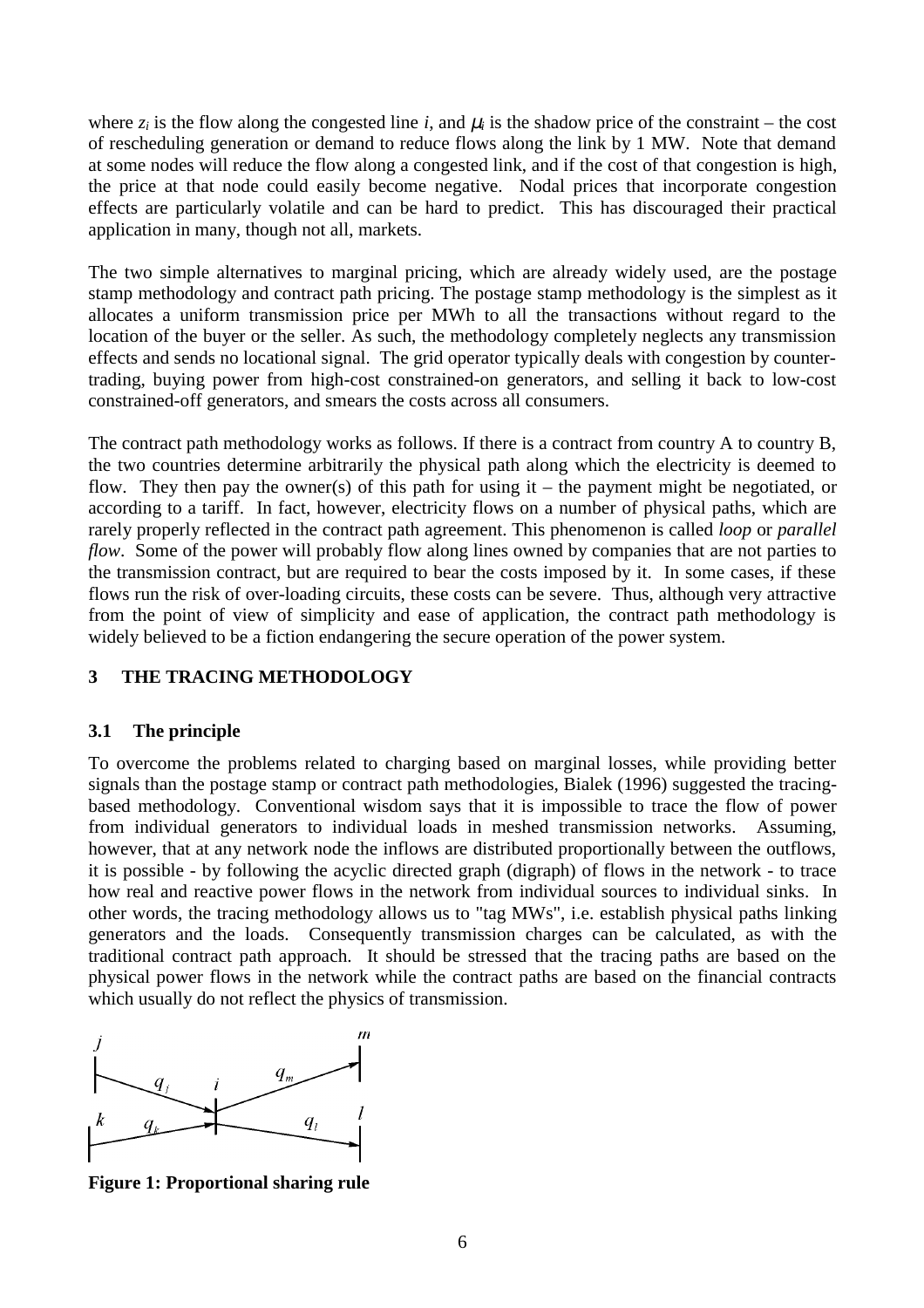where  $z_i$  is the flow along the congested line *i*, and  $\mu_i$  is the shadow price of the constraint – the cost of rescheduling generation or demand to reduce flows along the link by 1 MW. Note that demand at some nodes will reduce the flow along a congested link, and if the cost of that congestion is high, the price at that node could easily become negative. Nodal prices that incorporate congestion effects are particularly volatile and can be hard to predict. This has discouraged their practical application in many, though not all, markets.

The two simple alternatives to marginal pricing, which are already widely used, are the postage stamp methodology and contract path pricing. The postage stamp methodology is the simplest as it allocates a uniform transmission price per MWh to all the transactions without regard to the location of the buyer or the seller. As such, the methodology completely neglects any transmission effects and sends no locational signal. The grid operator typically deals with congestion by countertrading, buying power from high-cost constrained-on generators, and selling it back to low-cost constrained-off generators, and smears the costs across all consumers.

The contract path methodology works as follows. If there is a contract from country A to country B, the two countries determine arbitrarily the physical path along which the electricity is deemed to flow. They then pay the owner(s) of this path for using it – the payment might be negotiated, or according to a tariff. In fact, however, electricity flows on a number of physical paths, which are rarely properly reflected in the contract path agreement. This phenomenon is called *loop* or *parallel flow*. Some of the power will probably flow along lines owned by companies that are not parties to the transmission contract, but are required to bear the costs imposed by it. In some cases, if these flows run the risk of over-loading circuits, these costs can be severe. Thus, although very attractive from the point of view of simplicity and ease of application, the contract path methodology is widely believed to be a fiction endangering the secure operation of the power system.

# **3 THE TRACING METHODOLOGY**

# **3.1 The principle**

To overcome the problems related to charging based on marginal losses, while providing better signals than the postage stamp or contract path methodologies, Bialek (1996) suggested the tracingbased methodology. Conventional wisdom says that it is impossible to trace the flow of power from individual generators to individual loads in meshed transmission networks. Assuming, however, that at any network node the inflows are distributed proportionally between the outflows, it is possible - by following the acyclic directed graph (digraph) of flows in the network - to trace how real and reactive power flows in the network from individual sources to individual sinks. In other words, the tracing methodology allows us to "tag MWs", i.e. establish physical paths linking generators and the loads. Consequently transmission charges can be calculated, as with the traditional contract path approach. It should be stressed that the tracing paths are based on the physical power flows in the network while the contract paths are based on the financial contracts which usually do not reflect the physics of transmission.



**Figure 1: Proportional sharing rule**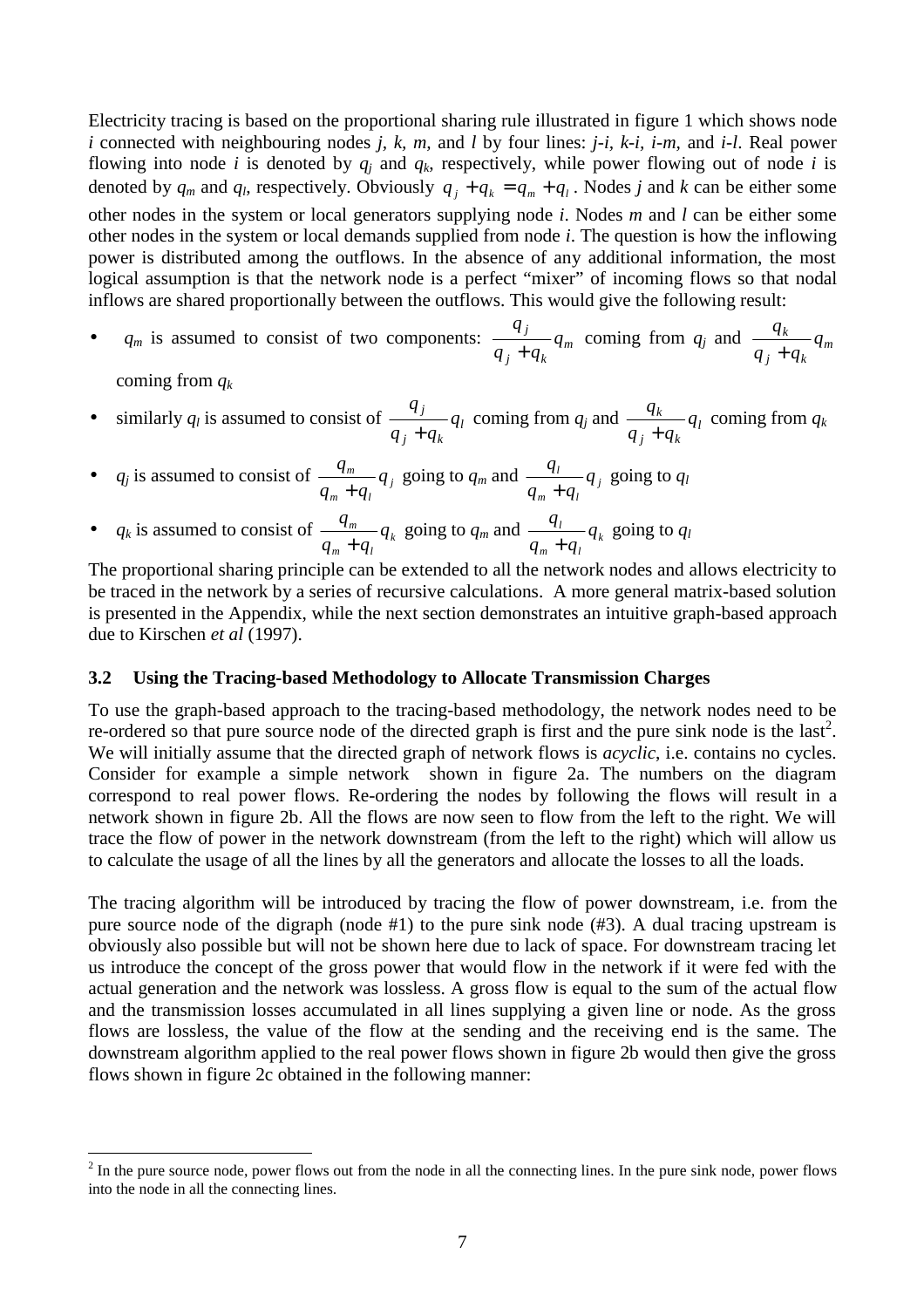Electricity tracing is based on the proportional sharing rule illustrated in figure 1 which shows node *i* connected with neighbouring nodes *j, k, m,* and *l* by four lines: *j-i, k-i, i-m,* and *i-l*. Real power flowing into node *i* is denoted by  $q_i$  and  $q_k$ , respectively, while power flowing out of node *i* is denoted by  $q_m$  and  $q_l$ , respectively. Obviously  $q_i + q_k = q_m + q_l$ . Nodes *j* and *k* can be either some other nodes in the system or local generators supplying node *i*. Nodes *m* and *l* can be either some other nodes in the system or local demands supplied from node *i*. The question is how the inflowing power is distributed among the outflows. In the absence of any additional information, the most logical assumption is that the network node is a perfect "mixer" of incoming flows so that nodal inflows are shared proportionally between the outflows. This would give the following result:

•  $q_m$  is assumed to consist of two components:  $\frac{q_m}{q_m}$  $_j$   $\tau$   $q_k$ *<sup>j</sup> q*  $q_i + q$ *q*  $\frac{q_1}{q_2+q_k}q_m$  coming from  $q_j$  and  $\frac{q_k}{q_1+q_k}q_m$  $j$  <sup> $\tau$ </sup>  $q_k$ *<sup>k</sup> q*  $q_i + q$ *q* +

coming from *qk*

 $\overline{a}$ 

- similarly  $q_l$  is assumed to consist of  $\frac{q_l}{q_l}$ *j k <sup>j</sup> q*  $q_i + q$ *q*  $\frac{q_i}{q_i+q_k}q_l$  coming from  $q_j$  and  $\frac{q_k}{q_i+q_k}q_l$  $_j$   $\tau$   $q_k$ *<sup>k</sup> q*  $q_i + q$ *q* + coming from *qk*
- $q_j$  is assumed to consist of  $\frac{q_m}{q_j}$  $m$  <sup>l</sup>  $4l$  $\frac{m}{q}$  $q_m + q$ *q*  $\frac{m}{q_i+q_i}q_j$  going to  $q_m$  and  $\frac{q_l}{q_m+q_l}q_j$  $m$  <sup>l</sup>  $4l$ *<sup>l</sup> q*  $q_m + q$ *q* + going to *ql*
- $q_k$  is assumed to consist of  $\frac{q_m}{q_k}$  $m$   $\cdot$   $\cdot$   $\cdot$   $\cdot$  $\frac{m}{q}$  $q_{m} + q$ *q*  $\frac{m}{q_k+q_l}q_k$  going to  $q_m$  and  $\frac{q_l}{q_m+q_l}q_k$  $m$   $\cdot$   $\cdot$   $\cdot$   $\cdot$ *<sup>l</sup> q*  $q_{m} + q$ *q* + going to *ql*

The proportional sharing principle can be extended to all the network nodes and allows electricity to be traced in the network by a series of recursive calculations. A more general matrix-based solution is presented in the Appendix, while the next section demonstrates an intuitive graph-based approach due to Kirschen *et al* (1997).

### **3.2 Using the Tracing-based Methodology to Allocate Transmission Charges**

To use the graph-based approach to the tracing-based methodology, the network nodes need to be re-ordered so that pure source node of the directed graph is first and the pure sink node is the last<sup>2</sup>. We will initially assume that the directed graph of network flows is *acyclic*, i.e. contains no cycles. Consider for example a simple network shown in figure 2a. The numbers on the diagram correspond to real power flows. Re-ordering the nodes by following the flows will result in a network shown in figure 2b. All the flows are now seen to flow from the left to the right. We will trace the flow of power in the network downstream (from the left to the right) which will allow us to calculate the usage of all the lines by all the generators and allocate the losses to all the loads.

The tracing algorithm will be introduced by tracing the flow of power downstream, i.e. from the pure source node of the digraph (node #1) to the pure sink node (#3). A dual tracing upstream is obviously also possible but will not be shown here due to lack of space. For downstream tracing let us introduce the concept of the gross power that would flow in the network if it were fed with the actual generation and the network was lossless. A gross flow is equal to the sum of the actual flow and the transmission losses accumulated in all lines supplying a given line or node. As the gross flows are lossless, the value of the flow at the sending and the receiving end is the same. The downstream algorithm applied to the real power flows shown in figure 2b would then give the gross flows shown in figure 2c obtained in the following manner:

 $2<sup>2</sup>$  In the pure source node, power flows out from the node in all the connecting lines. In the pure sink node, power flows into the node in all the connecting lines.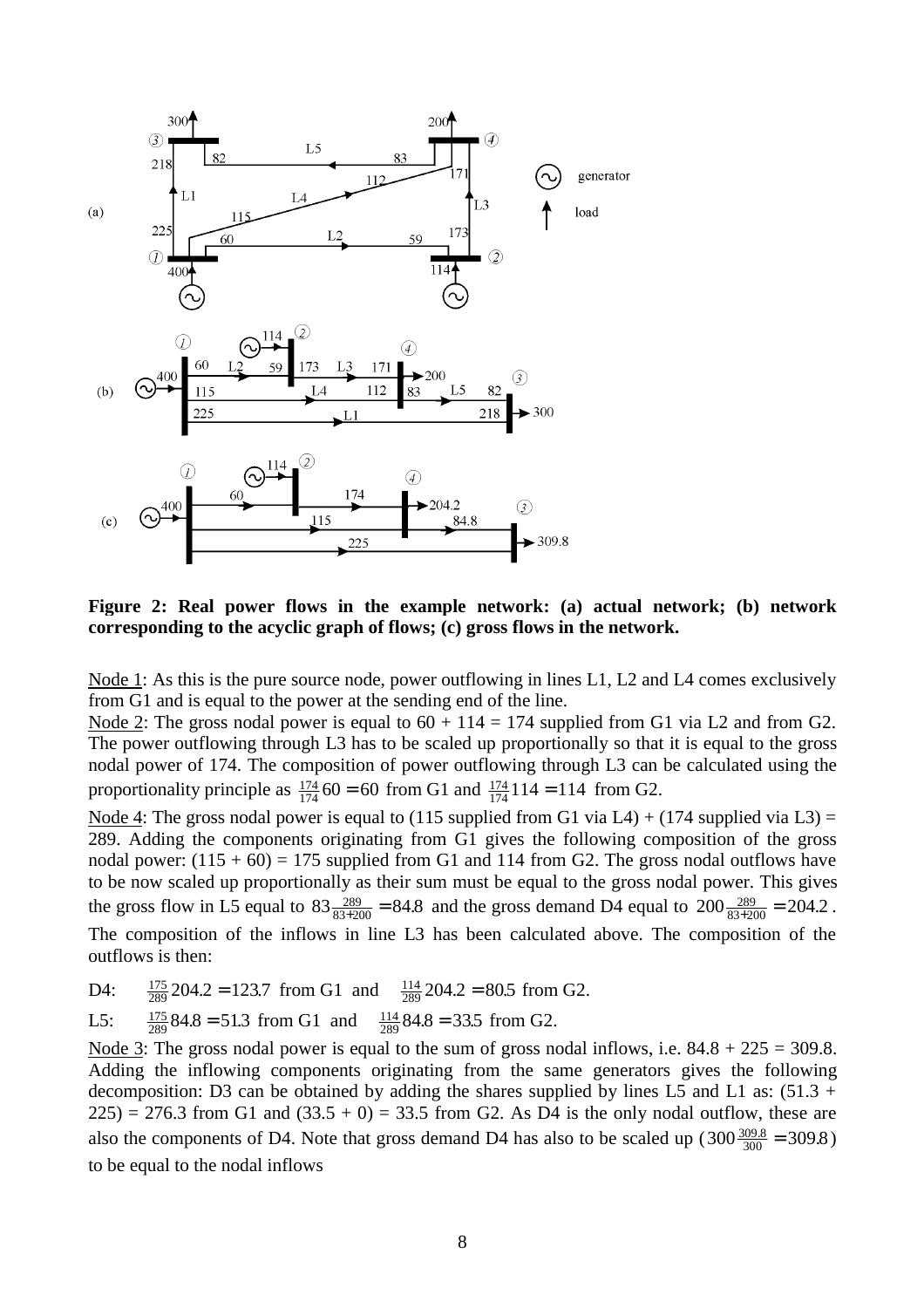

**Figure 2: Real power flows in the example network: (a) actual network; (b) network corresponding to the acyclic graph of flows; (c) gross flows in the network.**

Node 1: As this is the pure source node, power outflowing in lines L1, L2 and L4 comes exclusively from G1 and is equal to the power at the sending end of the line.

Node 2: The gross nodal power is equal to  $60 + 114 = 174$  supplied from G1 via L2 and from G2. The power outflowing through L3 has to be scaled up proportionally so that it is equal to the gross nodal power of 174. The composition of power outflowing through L3 can be calculated using the proportionality principle as  $\frac{174}{174}$  60 = 60 from G1 and  $\frac{174}{174}$  114 = 114 from G2.

Node 4: The gross nodal power is equal to (115 supplied from G1 via L4) + (174 supplied via L3) = 289. Adding the components originating from G1 gives the following composition of the gross nodal power:  $(115 + 60) = 175$  supplied from G1 and 114 from G2. The gross nodal outflows have to be now scaled up proportionally as their sum must be equal to the gross nodal power. This gives the gross flow in L5 equal to  $83\frac{289}{83+200} = 84.8$  and the gross demand D4 equal to  $200\frac{289}{83+200} = 204.2$ . The composition of the inflows in line L3 has been calculated above. The composition of the outflows is then:

D4:  $\frac{175}{289}$  204.2 = 123.7 from G1 and  $\frac{114}{289}$  204.2 = 80.5 from G2.

L5:  $\frac{175}{289}$  84.8 = 51.3 from G1 and  $\frac{114}{289}$  84.8 = 33.5 from G2.

Node 3: The gross nodal power is equal to the sum of gross nodal inflows, i.e.  $84.8 + 225 = 309.8$ . Adding the inflowing components originating from the same generators gives the following decomposition: D3 can be obtained by adding the shares supplied by lines L5 and L1 as:  $(51.3 +$  $225$ ) = 276.3 from G1 and  $(33.5 + 0)$  = 33.5 from G2. As D4 is the only nodal outflow, these are also the components of D4. Note that gross demand D4 has also to be scaled up  $(300\frac{309.8}{300} = 309.8)$ to be equal to the nodal inflows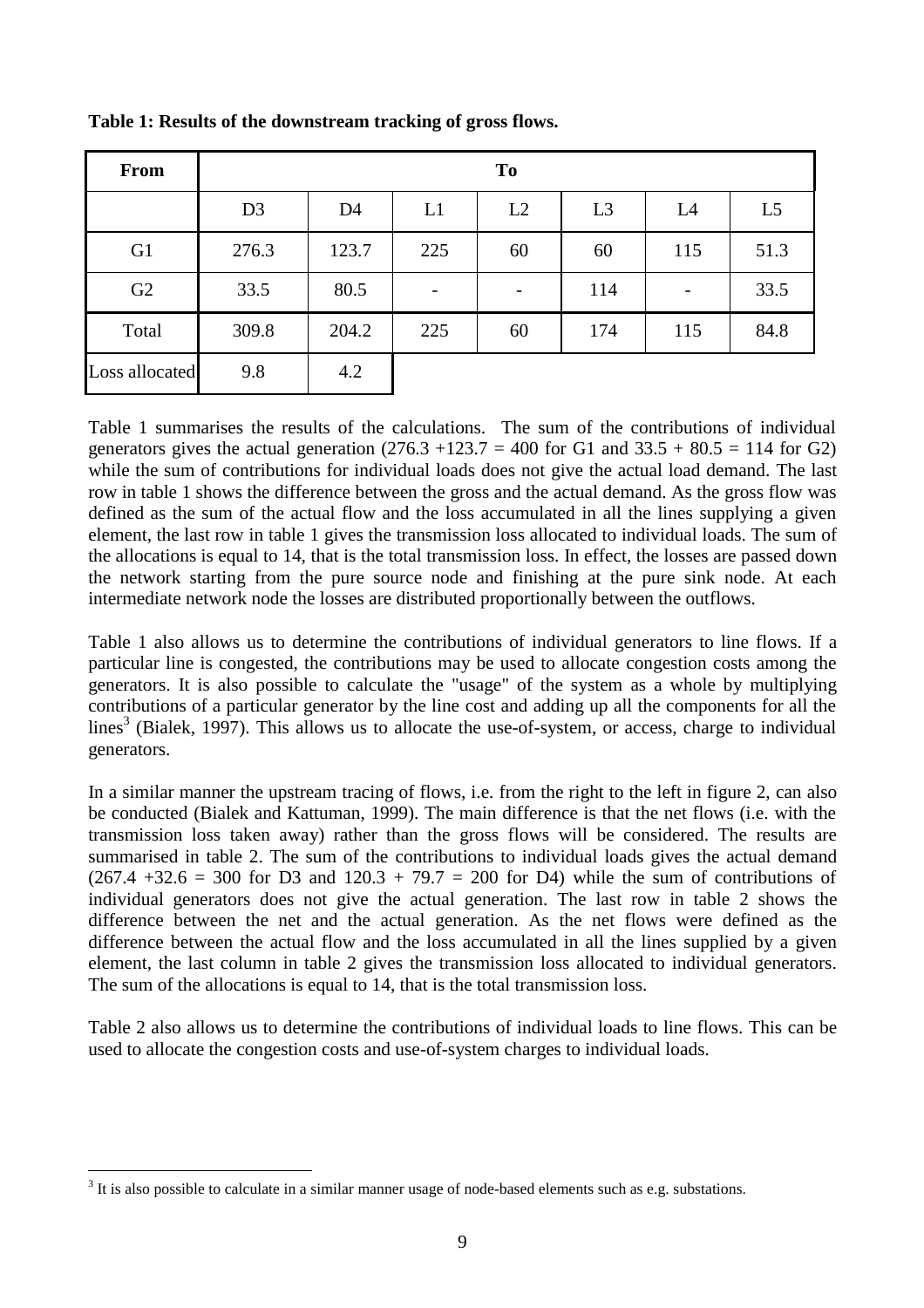| <b>From</b>    | T <sub>0</sub> |                |     |                          |                |     |                |
|----------------|----------------|----------------|-----|--------------------------|----------------|-----|----------------|
|                | D <sub>3</sub> | D <sub>4</sub> | L1  | L2                       | L <sub>3</sub> | L4  | L <sub>5</sub> |
| G <sub>1</sub> | 276.3          | 123.7          | 225 | 60                       | 60             | 115 | 51.3           |
| G <sub>2</sub> | 33.5           | 80.5           |     | $\overline{\phantom{a}}$ | 114            |     | 33.5           |
| Total          | 309.8          | 204.2          | 225 | 60                       | 174            | 115 | 84.8           |
| Loss allocated | 9.8            | 4.2            |     |                          |                |     |                |

**Table 1: Results of the downstream tracking of gross flows.**

Table 1 summarises the results of the calculations. The sum of the contributions of individual generators gives the actual generation  $(276.3 +123.7 = 400$  for G1 and  $33.5 + 80.5 = 114$  for G2) while the sum of contributions for individual loads does not give the actual load demand. The last row in table 1 shows the difference between the gross and the actual demand. As the gross flow was defined as the sum of the actual flow and the loss accumulated in all the lines supplying a given element, the last row in table 1 gives the transmission loss allocated to individual loads. The sum of the allocations is equal to 14, that is the total transmission loss. In effect, the losses are passed down the network starting from the pure source node and finishing at the pure sink node. At each intermediate network node the losses are distributed proportionally between the outflows.

Table 1 also allows us to determine the contributions of individual generators to line flows. If a particular line is congested, the contributions may be used to allocate congestion costs among the generators. It is also possible to calculate the "usage" of the system as a whole by multiplying contributions of a particular generator by the line cost and adding up all the components for all the lines<sup>3</sup> (Bialek, 1997). This allows us to allocate the use-of-system, or access, charge to individual generators.

In a similar manner the upstream tracing of flows, i.e. from the right to the left in figure 2, can also be conducted (Bialek and Kattuman, 1999). The main difference is that the net flows (i.e. with the transmission loss taken away) rather than the gross flows will be considered. The results are summarised in table 2. The sum of the contributions to individual loads gives the actual demand  $(267.4 +32.6 = 300$  for D3 and  $120.3 + 79.7 = 200$  for D4) while the sum of contributions of individual generators does not give the actual generation. The last row in table 2 shows the difference between the net and the actual generation. As the net flows were defined as the difference between the actual flow and the loss accumulated in all the lines supplied by a given element, the last column in table 2 gives the transmission loss allocated to individual generators. The sum of the allocations is equal to 14, that is the total transmission loss.

Table 2 also allows us to determine the contributions of individual loads to line flows. This can be used to allocate the congestion costs and use-of-system charges to individual loads.

<sup>&</sup>lt;sup>3</sup> It is also possible to calculate in a similar manner usage of node-based elements such as e.g. substations.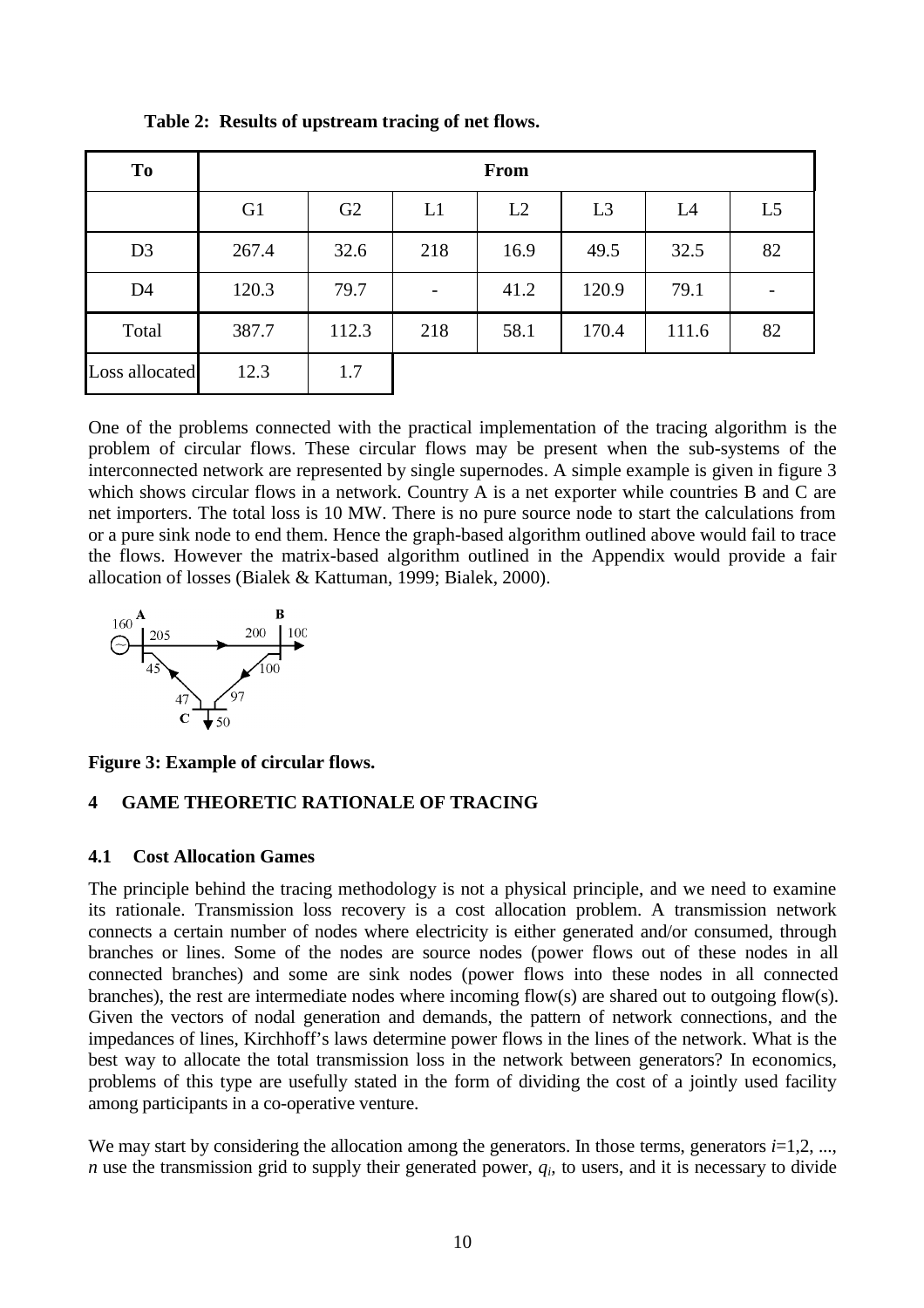| <b>To</b>      | <b>From</b>    |                |     |      |                |       |                |
|----------------|----------------|----------------|-----|------|----------------|-------|----------------|
|                | G <sub>1</sub> | G <sub>2</sub> | L1  | L2   | L <sub>3</sub> | L4    | L <sub>5</sub> |
| D <sub>3</sub> | 267.4          | 32.6           | 218 | 16.9 | 49.5           | 32.5  | 82             |
| D <sub>4</sub> | 120.3          | 79.7           |     | 41.2 | 120.9          | 79.1  |                |
| Total          | 387.7          | 112.3          | 218 | 58.1 | 170.4          | 111.6 | 82             |
| Loss allocated | 12.3           | 1.7            |     |      |                |       |                |

**Table 2: Results of upstream tracing of net flows.**

One of the problems connected with the practical implementation of the tracing algorithm is the problem of circular flows. These circular flows may be present when the sub-systems of the interconnected network are represented by single supernodes. A simple example is given in figure 3 which shows circular flows in a network. Country A is a net exporter while countries B and C are net importers. The total loss is 10 MW. There is no pure source node to start the calculations from or a pure sink node to end them. Hence the graph-based algorithm outlined above would fail to trace the flows. However the matrix-based algorithm outlined in the Appendix would provide a fair allocation of losses (Bialek & Kattuman, 1999; Bialek, 2000).



**Figure 3: Example of circular flows.**

# **4 GAME THEORETIC RATIONALE OF TRACING**

## **4.1 Cost Allocation Games**

The principle behind the tracing methodology is not a physical principle, and we need to examine its rationale. Transmission loss recovery is a cost allocation problem. A transmission network connects a certain number of nodes where electricity is either generated and/or consumed, through branches or lines. Some of the nodes are source nodes (power flows out of these nodes in all connected branches) and some are sink nodes (power flows into these nodes in all connected branches), the rest are intermediate nodes where incoming flow(s) are shared out to outgoing flow(s). Given the vectors of nodal generation and demands, the pattern of network connections, and the impedances of lines, Kirchhoff's laws determine power flows in the lines of the network. What is the best way to allocate the total transmission loss in the network between generators? In economics, problems of this type are usefully stated in the form of dividing the cost of a jointly used facility among participants in a co-operative venture.

We may start by considering the allocation among the generators. In those terms, generators  $i=1,2, \ldots$ ,  $n$  use the transmission grid to supply their generated power,  $q_i$ , to users, and it is necessary to divide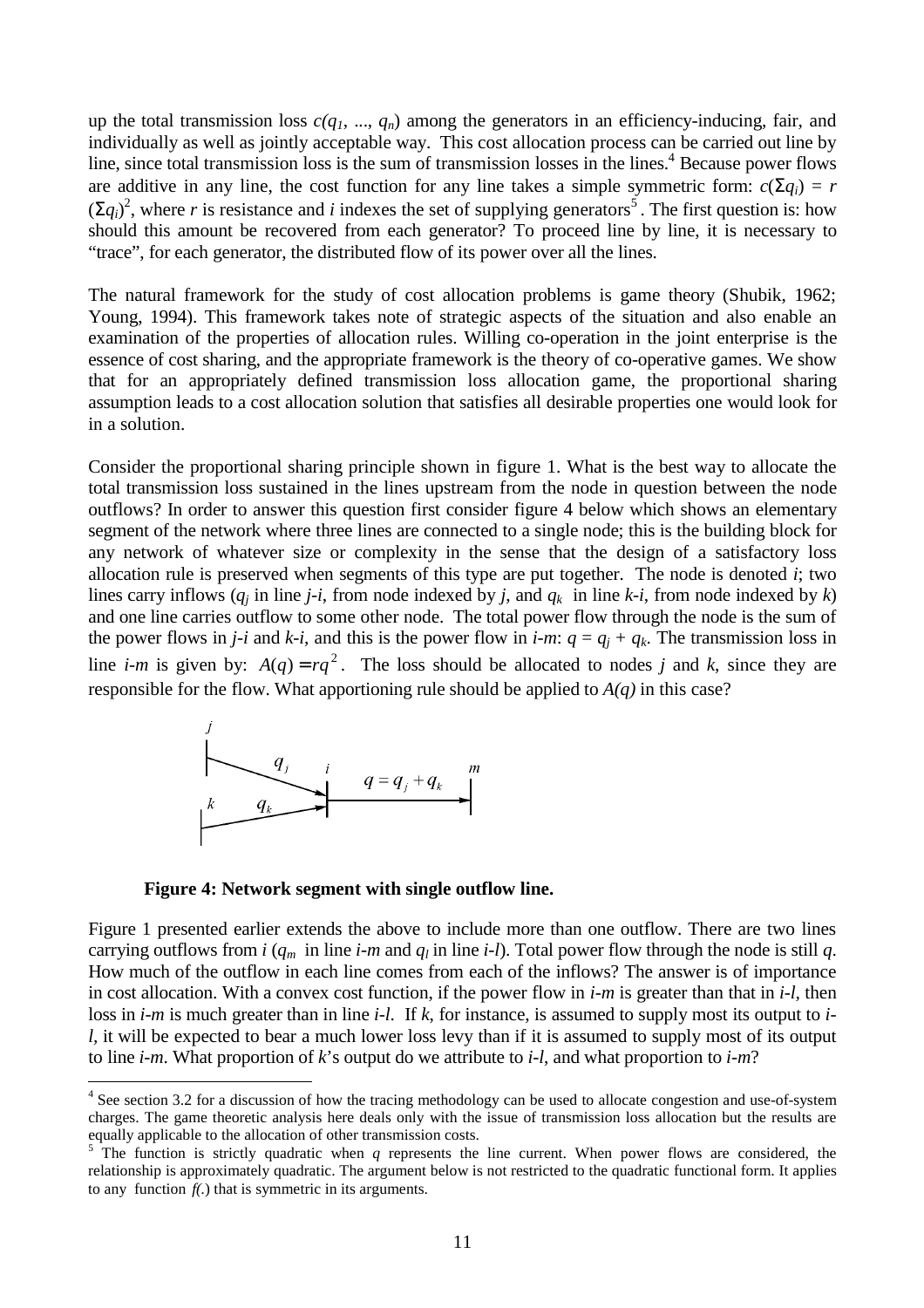up the total transmission loss  $c(q_1, ..., q_n)$  among the generators in an efficiency-inducing, fair, and individually as well as jointly acceptable way. This cost allocation process can be carried out line by line, since total transmission loss is the sum of transmission losses in the lines.<sup>4</sup> Because power flows are additive in any line, the cost function for any line takes a simple symmetric form:  $c(\Sigma q_i) = r$  $(\Sigma q_i)^2$ , where *r* is resistance and *i* indexes the set of supplying generators<sup>5</sup>. The first question is: how should this amount be recovered from each generator? To proceed line by line, it is necessary to "trace", for each generator, the distributed flow of its power over all the lines.

The natural framework for the study of cost allocation problems is game theory (Shubik, 1962; Young, 1994). This framework takes note of strategic aspects of the situation and also enable an examination of the properties of allocation rules. Willing co-operation in the joint enterprise is the essence of cost sharing, and the appropriate framework is the theory of co-operative games. We show that for an appropriately defined transmission loss allocation game, the proportional sharing assumption leads to a cost allocation solution that satisfies all desirable properties one would look for in a solution.

Consider the proportional sharing principle shown in figure 1. What is the best way to allocate the total transmission loss sustained in the lines upstream from the node in question between the node outflows? In order to answer this question first consider figure 4 below which shows an elementary segment of the network where three lines are connected to a single node; this is the building block for any network of whatever size or complexity in the sense that the design of a satisfactory loss allocation rule is preserved when segments of this type are put together. The node is denoted *i*; two lines carry inflows  $(q_i$  in line *j-i*, from node indexed by *j*, and  $q_k$  in line *k-i*, from node indexed by *k*) and one line carries outflow to some other node. The total power flow through the node is the sum of the power flows in *j-i* and *k-i*, and this is the power flow in *i-m*:  $q = q_i + q_k$ . The transmission loss in line *i-m* is given by:  $A(q) = rq^2$ . The loss should be allocated to nodes *j* and *k*, since they are responsible for the flow. What apportioning rule should be applied to *A(q)* in this case?



#### **Figure 4: Network segment with single outflow line.**

 $\overline{a}$ 

Figure 1 presented earlier extends the above to include more than one outflow. There are two lines carrying outflows from *i* ( $q_m$  in line *i-m* and  $q_l$  in line *i-l*). Total power flow through the node is still q. How much of the outflow in each line comes from each of the inflows? The answer is of importance in cost allocation. With a convex cost function, if the power flow in *i-m* is greater than that in *i-l,* then loss in *i-m* is much greater than in line *i-l*. If *k*, for instance, is assumed to supply most its output to *il,* it will be expected to bear a much lower loss levy than if it is assumed to supply most of its output to line *i-m*. What proportion of *k*'s output do we attribute to *i-l*, and what proportion to *i-m*?

<sup>&</sup>lt;sup>4</sup> See section 3.2 for a discussion of how the tracing methodology can be used to allocate congestion and use-of-system charges. The game theoretic analysis here deals only with the issue of transmission loss allocation but the results are equally applicable to the allocation of other transmission costs.

<sup>5</sup> The function is strictly quadratic when *q* represents the line current. When power flows are considered, the relationship is approximately quadratic. The argument below is not restricted to the quadratic functional form. It applies to any function *f(.*) that is symmetric in its arguments.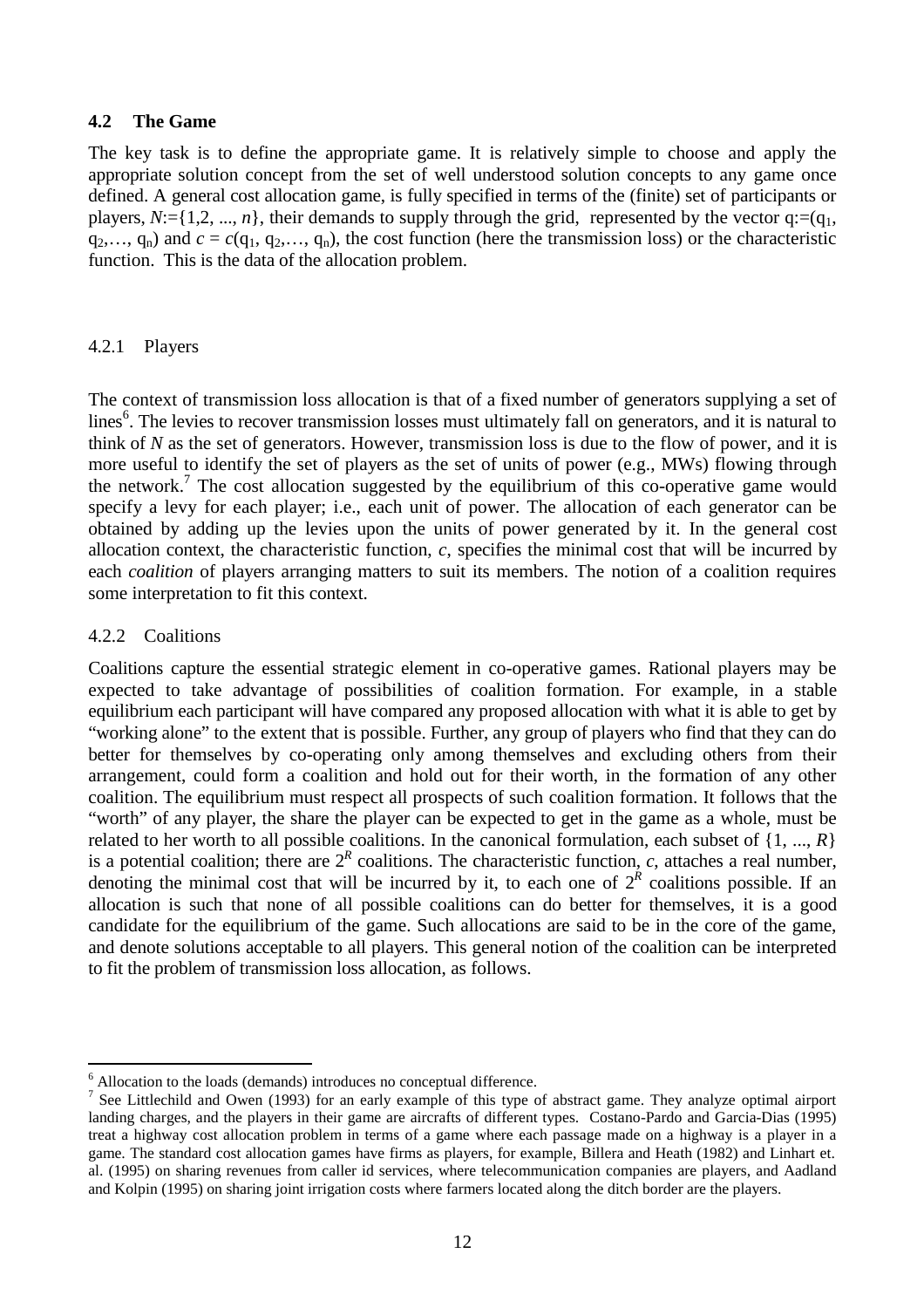### **4.2 The Game**

The key task is to define the appropriate game. It is relatively simple to choose and apply the appropriate solution concept from the set of well understood solution concepts to any game once defined. A general cost allocation game, is fully specified in terms of the (finite) set of participants or players,  $N = \{1,2, ..., n\}$ , their demands to supply through the grid, represented by the vector  $q = (q_1, q_2, \ldots, q_n)\}$  $q_2,..., q_n$ ) and  $c = c(q_1, q_2,..., q_n)$ , the cost function (here the transmission loss) or the characteristic function. This is the data of the allocation problem.

### 4.2.1 Players

The context of transmission loss allocation is that of a fixed number of generators supplying a set of lines<sup>6</sup>. The levies to recover transmission losses must ultimately fall on generators, and it is natural to think of *N* as the set of generators. However, transmission loss is due to the flow of power, and it is more useful to identify the set of players as the set of units of power (e.g., MWs) flowing through the network.<sup>7</sup> The cost allocation suggested by the equilibrium of this co-operative game would specify a levy for each player; i.e., each unit of power. The allocation of each generator can be obtained by adding up the levies upon the units of power generated by it. In the general cost allocation context, the characteristic function, *c*, specifies the minimal cost that will be incurred by each *coalition* of players arranging matters to suit its members. The notion of a coalition requires some interpretation to fit this context.

## 4.2.2 Coalitions

 $\overline{a}$ 

Coalitions capture the essential strategic element in co-operative games. Rational players may be expected to take advantage of possibilities of coalition formation. For example, in a stable equilibrium each participant will have compared any proposed allocation with what it is able to get by "working alone" to the extent that is possible. Further, any group of players who find that they can do better for themselves by co-operating only among themselves and excluding others from their arrangement, could form a coalition and hold out for their worth, in the formation of any other coalition. The equilibrium must respect all prospects of such coalition formation. It follows that the "worth" of any player, the share the player can be expected to get in the game as a whole, must be related to her worth to all possible coalitions. In the canonical formulation, each subset of  $\{1, ..., R\}$ is a potential coalition; there are  $2^R$  coalitions. The characteristic function, *c*, attaches a real number, denoting the minimal cost that will be incurred by it, to each one of  $2^R$  coalitions possible. If an allocation is such that none of all possible coalitions can do better for themselves, it is a good candidate for the equilibrium of the game. Such allocations are said to be in the core of the game, and denote solutions acceptable to all players. This general notion of the coalition can be interpreted to fit the problem of transmission loss allocation, as follows.

<sup>&</sup>lt;sup>6</sup> Allocation to the loads (demands) introduces no conceptual difference.

<sup>&</sup>lt;sup>7</sup> See Littlechild and Owen (1993) for an early example of this type of abstract game. They analyze optimal airport landing charges, and the players in their game are aircrafts of different types. Costano-Pardo and Garcia-Dias (1995) treat a highway cost allocation problem in terms of a game where each passage made on a highway is a player in a game. The standard cost allocation games have firms as players, for example, Billera and Heath (1982) and Linhart et. al. (1995) on sharing revenues from caller id services, where telecommunication companies are players, and Aadland and Kolpin (1995) on sharing joint irrigation costs where farmers located along the ditch border are the players.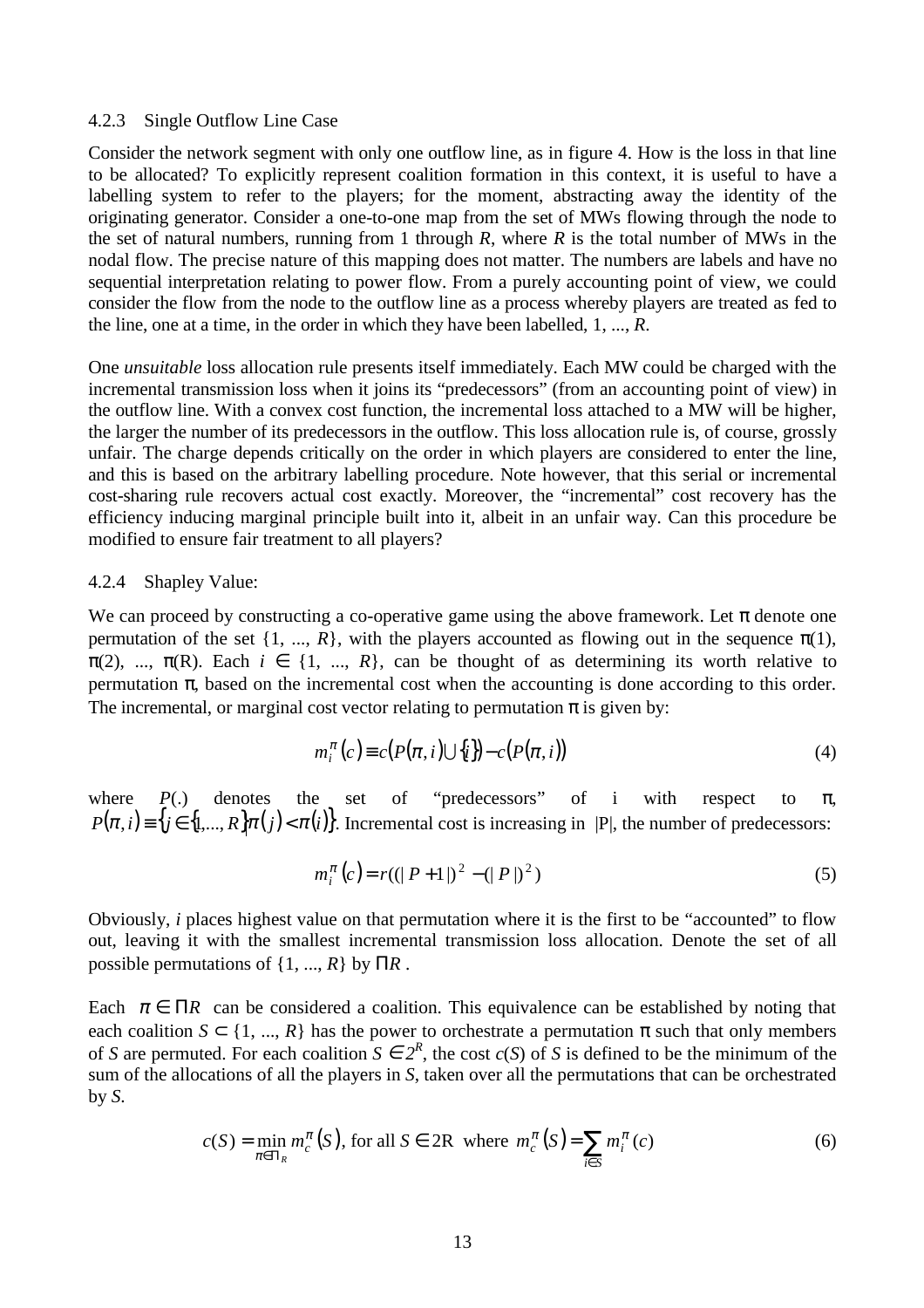#### 4.2.3 Single Outflow Line Case

Consider the network segment with only one outflow line, as in figure 4. How is the loss in that line to be allocated? To explicitly represent coalition formation in this context, it is useful to have a labelling system to refer to the players; for the moment, abstracting away the identity of the originating generator. Consider a one-to-one map from the set of MWs flowing through the node to the set of natural numbers, running from 1 through *R*, where *R* is the total number of MWs in the nodal flow. The precise nature of this mapping does not matter. The numbers are labels and have no sequential interpretation relating to power flow. From a purely accounting point of view, we could consider the flow from the node to the outflow line as a process whereby players are treated as fed to the line, one at a time, in the order in which they have been labelled, 1, ..., *R*.

One *unsuitable* loss allocation rule presents itself immediately. Each MW could be charged with the incremental transmission loss when it joins its "predecessors" (from an accounting point of view) in the outflow line. With a convex cost function, the incremental loss attached to a MW will be higher, the larger the number of its predecessors in the outflow. This loss allocation rule is, of course, grossly unfair. The charge depends critically on the order in which players are considered to enter the line, and this is based on the arbitrary labelling procedure. Note however, that this serial or incremental cost-sharing rule recovers actual cost exactly. Moreover, the "incremental" cost recovery has the efficiency inducing marginal principle built into it, albeit in an unfair way. Can this procedure be modified to ensure fair treatment to all players?

### 4.2.4 Shapley Value:

We can proceed by constructing a co-operative game using the above framework. Let  $\pi$  denote one permutation of the set  $\{1, ..., R\}$ , with the players accounted as flowing out in the sequence  $\pi(1)$ ,  $\pi(2)$ , ...,  $\pi(R)$ . Each  $i \in \{1, ..., R\}$ , can be thought of as determining its worth relative to permutation π, based on the incremental cost when the accounting is done according to this order. The incremental, or marginal cost vector relating to permutation  $\pi$  is given by:

$$
m_i^{\pi}(c) \equiv c(P(\pi, i) \cup \{i\}) - c(P(\pi, i)) \tag{4}
$$

where  $P(.)$  denotes the set of "predecessors" of i with respect to  $\pi$ ,  $P(\pi, i) = \{j \in \{1, ..., R\}|\pi(i) < \pi(i)\}$ . Incremental cost is increasing in |P|, the number of predecessors:

$$
m_i^{\pi} (c) = r((|P+1|)^2 - (|P|)^2)
$$
\n(5)

Obviously, *i* places highest value on that permutation where it is the first to be "accounted" to flow out, leaving it with the smallest incremental transmission loss allocation. Denote the set of all possible permutations of  $\{1, ..., R\}$  by  $\Pi R$ .

Each  $\pi \in \Pi R$  can be considered a coalition. This equivalence can be established by noting that each coalition  $S \subset \{1, ..., R\}$  has the power to orchestrate a permutation  $\pi$  such that only members of *S* are permuted. For each coalition  $S \in 2^R$ , the cost  $c(S)$  of *S* is defined to be the minimum of the sum of the allocations of all the players in *S*, taken over all the permutations that can be orchestrated by *S*.

$$
c(S) = \min_{\pi \in \Pi_R} m_c^{\pi}(S), \text{ for all } S \in 2R \text{ where } m_c^{\pi}(S) = \sum_{i \in S} m_i^{\pi}(c)
$$
 (6)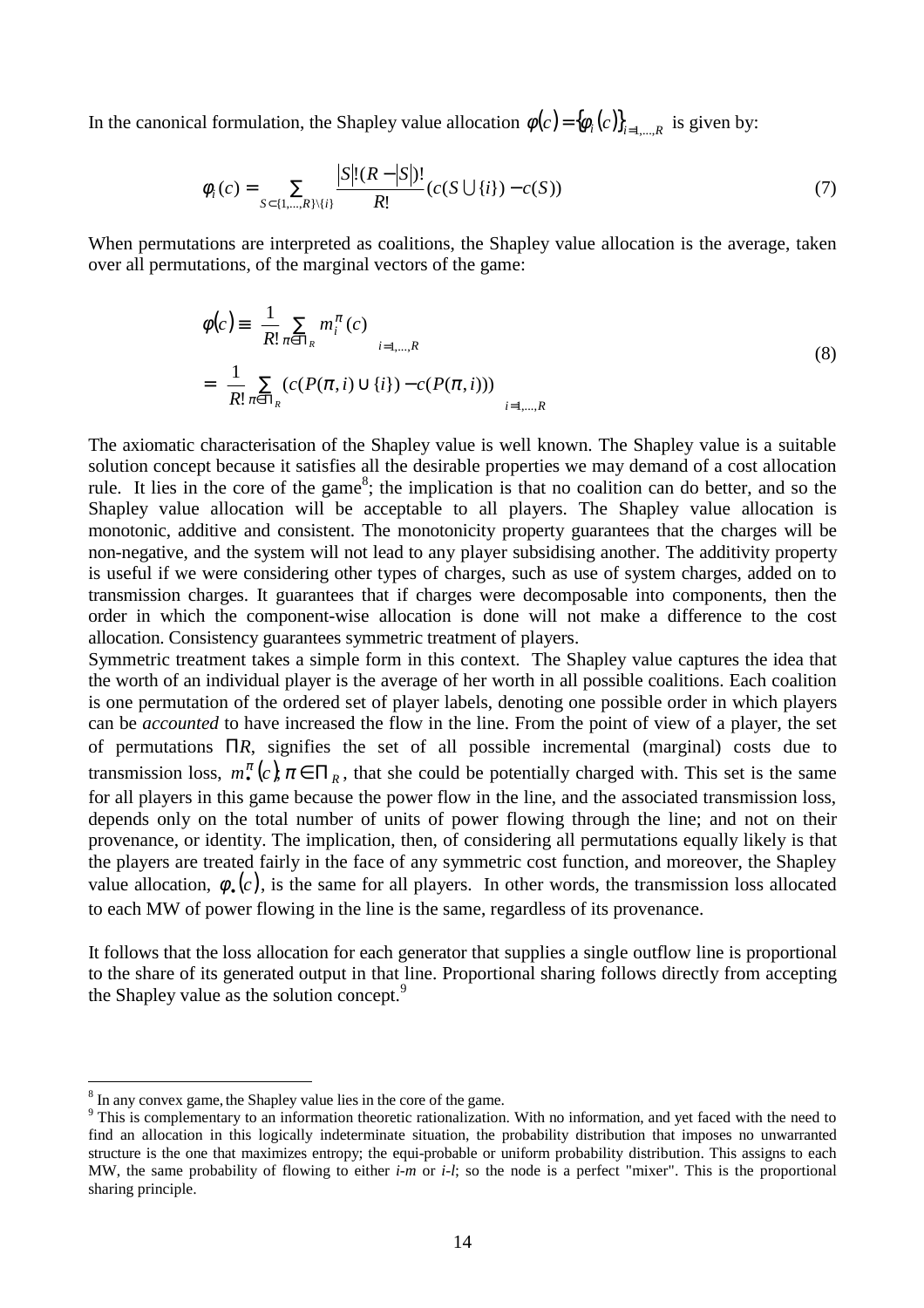In the canonical formulation, the Shapley value allocation  $\phi(c) = {\phi_i(c)}_{i=1,\ldots,R}$  is given by:

$$
\phi_i(c) = \sum_{S \subset \{1, \dots, R\} \setminus \{i\}} \frac{|S|!(R-|S|)!}{R!} (c(S \cup \{i\}) - c(S)) \tag{7}
$$

When permutations are interpreted as coalitions, the Shapley value allocation is the average, taken over all permutations, of the marginal vectors of the game:

$$
\begin{aligned} \n\phi(c) &= \left\{ \frac{1}{R!} \sum_{\pi \in \Pi_R} m_i^{\pi}(c) \right\}_{i=1,\dots,R} \\ \n&= \left\{ \frac{1}{R!} \sum_{\pi \in \Pi_R} (c(P(\pi, i) \cup \{i\}) - c(P(\pi, i))) \right\}_{i=1,\dots,R} \n\end{aligned} \tag{8}
$$

The axiomatic characterisation of the Shapley value is well known. The Shapley value is a suitable solution concept because it satisfies all the desirable properties we may demand of a cost allocation rule. It lies in the core of the game<sup>8</sup>; the implication is that no coalition can do better, and so the Shapley value allocation will be acceptable to all players. The Shapley value allocation is monotonic, additive and consistent. The monotonicity property guarantees that the charges will be non-negative, and the system will not lead to any player subsidising another. The additivity property is useful if we were considering other types of charges, such as use of system charges, added on to transmission charges. It guarantees that if charges were decomposable into components, then the order in which the component-wise allocation is done will not make a difference to the cost allocation. Consistency guarantees symmetric treatment of players.

Symmetric treatment takes a simple form in this context. The Shapley value captures the idea that the worth of an individual player is the average of her worth in all possible coalitions. Each coalition is one permutation of the ordered set of player labels, denoting one possible order in which players can be *accounted* to have increased the flow in the line. From the point of view of a player, the set of permutations Π*R*, signifies the set of all possible incremental (marginal) costs due to transmission loss,  $m_{\bullet}^{\pi}(c)$ ,  $\pi \in \Pi_{R}$ , that she could be potentially charged with. This set is the same for all players in this game because the power flow in the line, and the associated transmission loss, depends only on the total number of units of power flowing through the line; and not on their provenance, or identity. The implication, then, of considering all permutations equally likely is that the players are treated fairly in the face of any symmetric cost function, and moreover, the Shapley value allocation,  $\phi_{\bullet}(c)$ , is the same for all players. In other words, the transmission loss allocated to each MW of power flowing in the line is the same, regardless of its provenance.

It follows that the loss allocation for each generator that supplies a single outflow line is proportional to the share of its generated output in that line. Proportional sharing follows directly from accepting the Shapley value as the solution concept.<sup>9</sup>

 $\overline{a}$ 

 $\frac{8}{9}$  In any convex game, the Shapley value lies in the core of the game.

<sup>&</sup>lt;sup>9</sup> This is complementary to an information theoretic rationalization. With no information, and yet faced with the need to find an allocation in this logically indeterminate situation, the probability distribution that imposes no unwarranted structure is the one that maximizes entropy; the equi-probable or uniform probability distribution. This assigns to each MW, the same probability of flowing to either *i-m* or *i-l*; so the node is a perfect "mixer". This is the proportional sharing principle.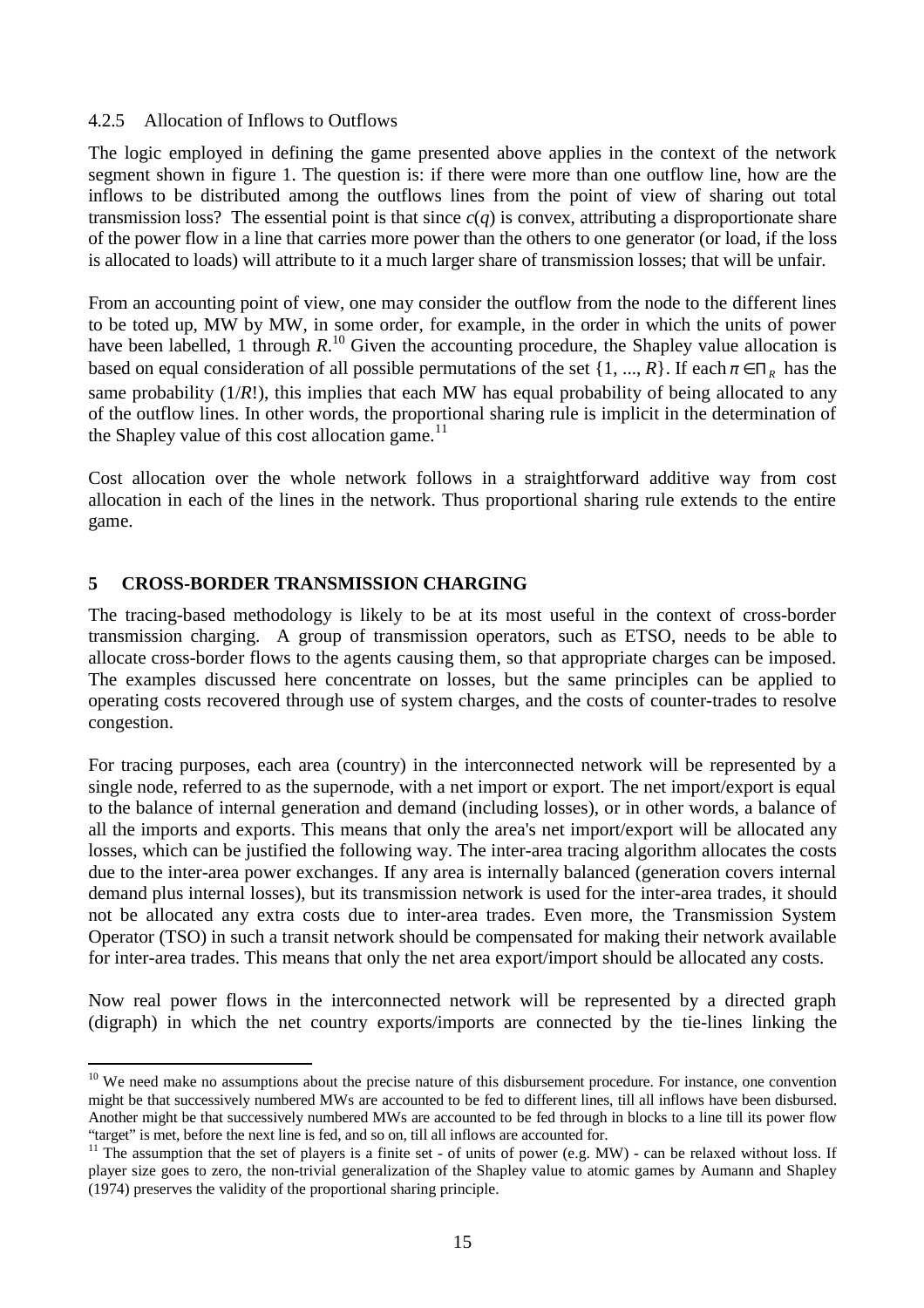## 4.2.5 Allocation of Inflows to Outflows

The logic employed in defining the game presented above applies in the context of the network segment shown in figure 1. The question is: if there were more than one outflow line, how are the inflows to be distributed among the outflows lines from the point of view of sharing out total transmission loss? The essential point is that since  $c(q)$  is convex, attributing a disproportionate share of the power flow in a line that carries more power than the others to one generator (or load, if the loss is allocated to loads) will attribute to it a much larger share of transmission losses; that will be unfair.

From an accounting point of view, one may consider the outflow from the node to the different lines to be toted up, MW by MW, in some order, for example, in the order in which the units of power have been labelled, 1 through  $R$ <sup>10</sup> Given the accounting procedure, the Shapley value allocation is based on equal consideration of all possible permutations of the set  $\{1, ..., R\}$ . If each  $\pi \in \Pi_R$  has the same probability  $(1/R!)$ , this implies that each MW has equal probability of being allocated to any of the outflow lines. In other words, the proportional sharing rule is implicit in the determination of the Shapley value of this cost allocation game.<sup>11</sup>

Cost allocation over the whole network follows in a straightforward additive way from cost allocation in each of the lines in the network. Thus proportional sharing rule extends to the entire game.

## **5 CROSS-BORDER TRANSMISSION CHARGING**

 $\overline{a}$ 

The tracing-based methodology is likely to be at its most useful in the context of cross-border transmission charging. A group of transmission operators, such as ETSO, needs to be able to allocate cross-border flows to the agents causing them, so that appropriate charges can be imposed. The examples discussed here concentrate on losses, but the same principles can be applied to operating costs recovered through use of system charges, and the costs of counter-trades to resolve congestion.

For tracing purposes, each area (country) in the interconnected network will be represented by a single node, referred to as the supernode, with a net import or export. The net import/export is equal to the balance of internal generation and demand (including losses), or in other words, a balance of all the imports and exports. This means that only the area's net import/export will be allocated any losses, which can be justified the following way. The inter-area tracing algorithm allocates the costs due to the inter-area power exchanges. If any area is internally balanced (generation covers internal demand plus internal losses), but its transmission network is used for the inter-area trades, it should not be allocated any extra costs due to inter-area trades. Even more, the Transmission System Operator (TSO) in such a transit network should be compensated for making their network available for inter-area trades. This means that only the net area export/import should be allocated any costs.

Now real power flows in the interconnected network will be represented by a directed graph (digraph) in which the net country exports/imports are connected by the tie-lines linking the

<sup>&</sup>lt;sup>10</sup> We need make no assumptions about the precise nature of this disbursement procedure. For instance, one convention might be that successively numbered MWs are accounted to be fed to different lines, till all inflows have been disbursed. Another might be that successively numbered MWs are accounted to be fed through in blocks to a line till its power flow "target" is met, before the next line is fed, and so on, till all inflows are accounted for.

 $11$  The assumption that the set of players is a finite set - of units of power (e.g. MW) - can be relaxed without loss. If player size goes to zero, the non-trivial generalization of the Shapley value to atomic games by Aumann and Shapley (1974) preserves the validity of the proportional sharing principle.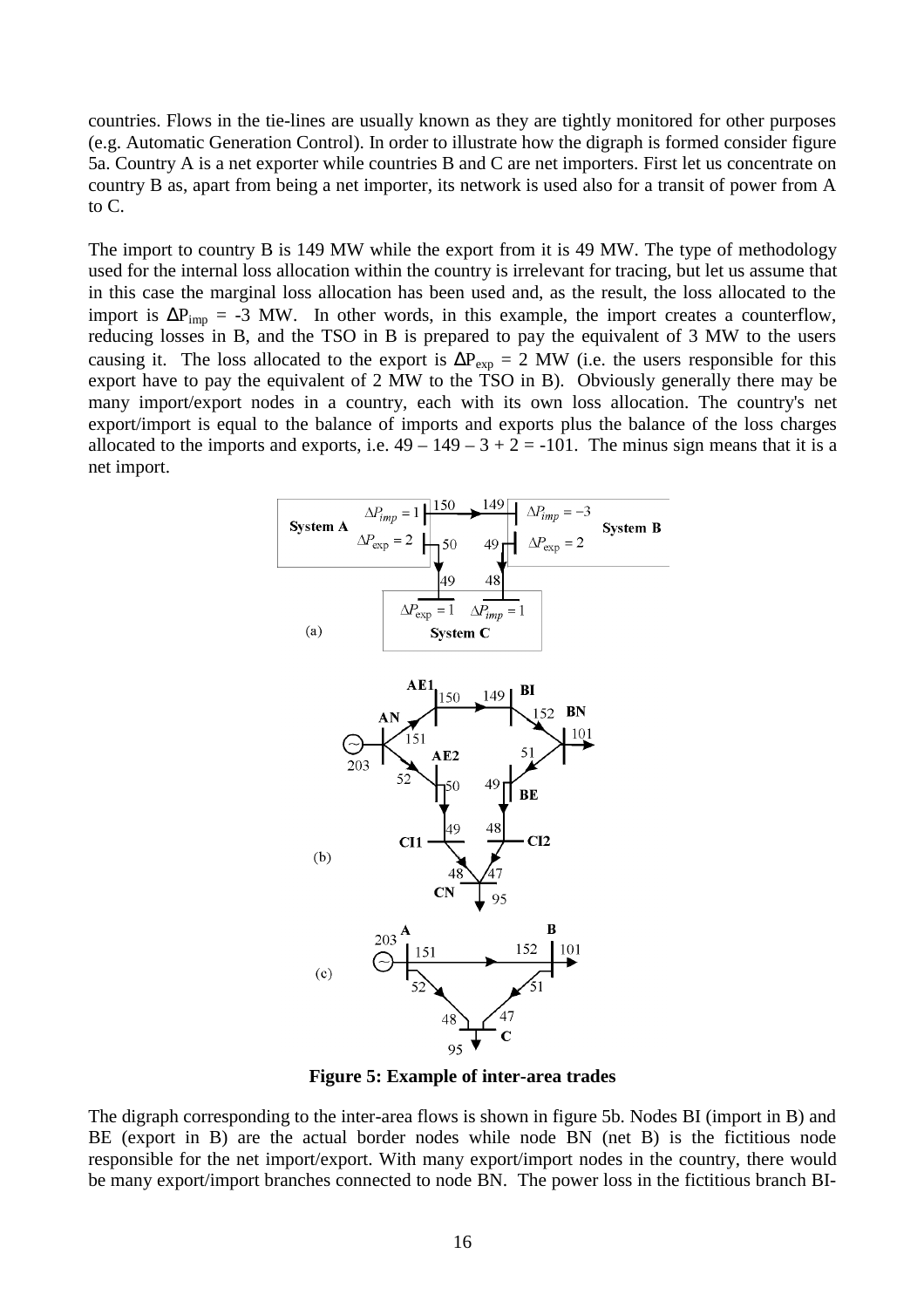countries. Flows in the tie-lines are usually known as they are tightly monitored for other purposes (e.g. Automatic Generation Control). In order to illustrate how the digraph is formed consider figure 5a. Country A is a net exporter while countries B and C are net importers. First let us concentrate on country B as, apart from being a net importer, its network is used also for a transit of power from A to C.

The import to country B is 149 MW while the export from it is 49 MW. The type of methodology used for the internal loss allocation within the country is irrelevant for tracing, but let us assume that in this case the marginal loss allocation has been used and, as the result, the loss allocated to the import is  $\Delta P_{\text{imp}} = -3$  MW. In other words, in this example, the import creates a counterflow, reducing losses in B, and the TSO in B is prepared to pay the equivalent of 3 MW to the users causing it. The loss allocated to the export is  $\Delta P_{\text{exp}} = 2$  MW (i.e. the users responsible for this export have to pay the equivalent of 2 MW to the TSO in B). Obviously generally there may be many import/export nodes in a country, each with its own loss allocation. The country's net export/import is equal to the balance of imports and exports plus the balance of the loss charges allocated to the imports and exports, i.e.  $49 - 149 - 3 + 2 = -101$ . The minus sign means that it is a net import.



**Figure 5: Example of inter-area trades**

The digraph corresponding to the inter-area flows is shown in figure 5b. Nodes BI (import in B) and BE (export in B) are the actual border nodes while node BN (net B) is the fictitious node responsible for the net import/export. With many export/import nodes in the country, there would be many export/import branches connected to node BN. The power loss in the fictitious branch BI-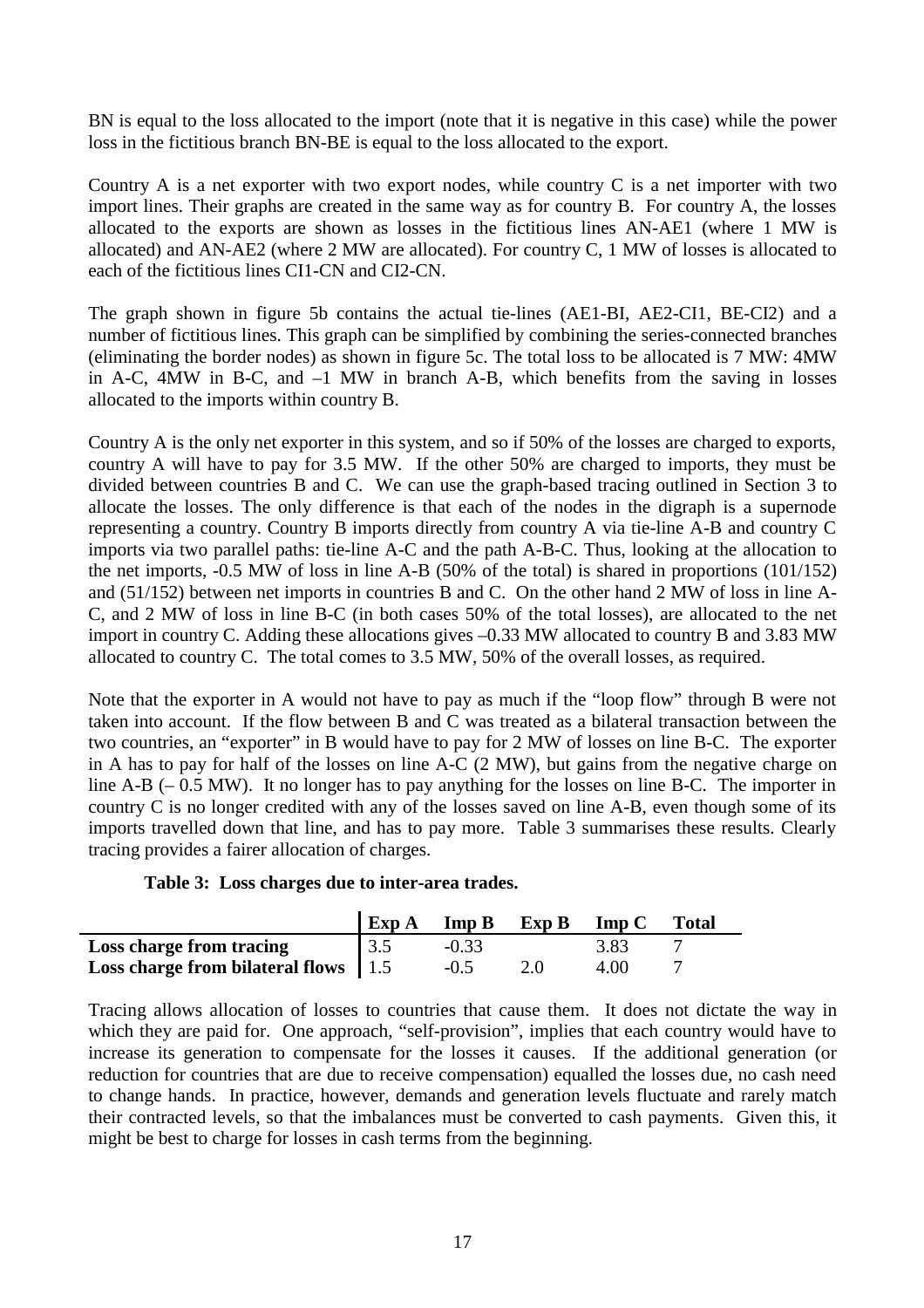BN is equal to the loss allocated to the import (note that it is negative in this case) while the power loss in the fictitious branch BN-BE is equal to the loss allocated to the export.

Country A is a net exporter with two export nodes, while country C is a net importer with two import lines. Their graphs are created in the same way as for country B. For country A, the losses allocated to the exports are shown as losses in the fictitious lines AN-AE1 (where 1 MW is allocated) and AN-AE2 (where 2 MW are allocated). For country C, 1 MW of losses is allocated to each of the fictitious lines CI1-CN and CI2-CN.

The graph shown in figure 5b contains the actual tie-lines (AE1-BI, AE2-CI1, BE-CI2) and a number of fictitious lines. This graph can be simplified by combining the series-connected branches (eliminating the border nodes) as shown in figure 5c. The total loss to be allocated is 7 MW: 4MW in A-C, 4MW in B-C, and –1 MW in branch A-B, which benefits from the saving in losses allocated to the imports within country B.

Country A is the only net exporter in this system, and so if 50% of the losses are charged to exports, country A will have to pay for 3.5 MW. If the other 50% are charged to imports, they must be divided between countries B and C. We can use the graph-based tracing outlined in Section 3 to allocate the losses. The only difference is that each of the nodes in the digraph is a supernode representing a country. Country B imports directly from country A via tie-line A-B and country C imports via two parallel paths: tie-line A-C and the path A-B-C. Thus, looking at the allocation to the net imports, -0.5 MW of loss in line A-B (50% of the total) is shared in proportions (101/152) and (51/152) between net imports in countries B and C. On the other hand 2 MW of loss in line A-C, and 2 MW of loss in line B-C (in both cases 50% of the total losses), are allocated to the net import in country C. Adding these allocations gives –0.33 MW allocated to country B and 3.83 MW allocated to country C. The total comes to 3.5 MW, 50% of the overall losses, as required.

Note that the exporter in A would not have to pay as much if the "loop flow" through B were not taken into account. If the flow between B and C was treated as a bilateral transaction between the two countries, an "exporter" in B would have to pay for 2 MW of losses on line B-C. The exporter in A has to pay for half of the losses on line A-C (2 MW), but gains from the negative charge on line A-B (– 0.5 MW). It no longer has to pay anything for the losses on line B-C. The importer in country C is no longer credited with any of the losses saved on line A-B, even though some of its imports travelled down that line, and has to pay more. Table 3 summarises these results. Clearly tracing provides a fairer allocation of charges.

|  |  | Table 3: Loss charges due to inter-area trades. |  |
|--|--|-------------------------------------------------|--|
|--|--|-------------------------------------------------|--|

|                                                 | Exp A | $\mathbf{Imp} \mathbf{B}$ | Exp B | $\mathbf{Imp} \ \mathbf{C}$ | <b>Total</b> |
|-------------------------------------------------|-------|---------------------------|-------|-----------------------------|--------------|
| Loss charge from tracing                        |       | $-0.33$                   |       | 3.83                        |              |
| <b>Loss charge from bilateral flows</b> $  1.5$ |       | $-0.5$                    |       | 4.00                        |              |

Tracing allows allocation of losses to countries that cause them. It does not dictate the way in which they are paid for. One approach, "self-provision", implies that each country would have to increase its generation to compensate for the losses it causes. If the additional generation (or reduction for countries that are due to receive compensation) equalled the losses due, no cash need to change hands. In practice, however, demands and generation levels fluctuate and rarely match their contracted levels, so that the imbalances must be converted to cash payments. Given this, it might be best to charge for losses in cash terms from the beginning.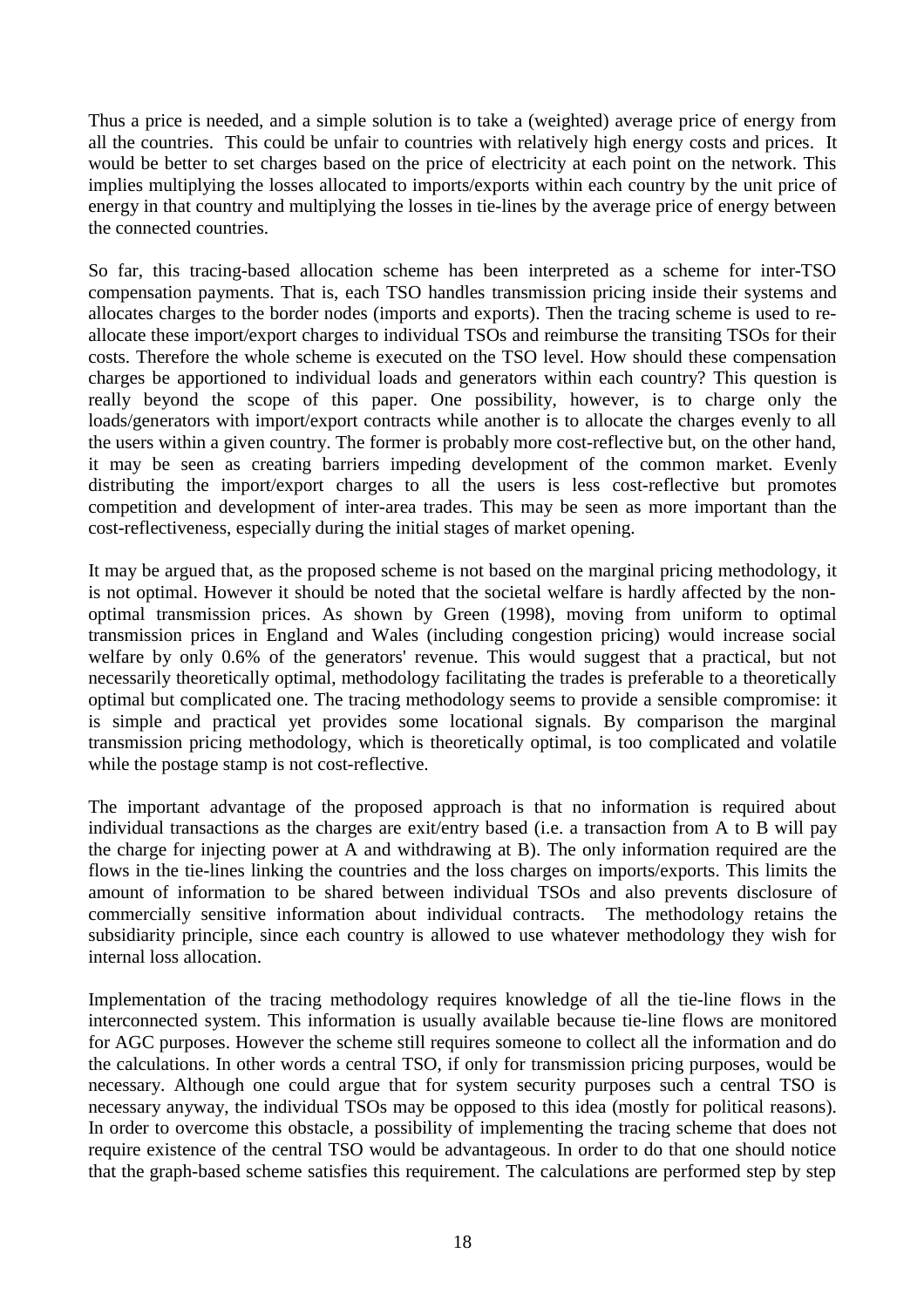Thus a price is needed, and a simple solution is to take a (weighted) average price of energy from all the countries. This could be unfair to countries with relatively high energy costs and prices. It would be better to set charges based on the price of electricity at each point on the network. This implies multiplying the losses allocated to imports/exports within each country by the unit price of energy in that country and multiplying the losses in tie-lines by the average price of energy between the connected countries.

So far, this tracing-based allocation scheme has been interpreted as a scheme for inter-TSO compensation payments. That is, each TSO handles transmission pricing inside their systems and allocates charges to the border nodes (imports and exports). Then the tracing scheme is used to reallocate these import/export charges to individual TSOs and reimburse the transiting TSOs for their costs. Therefore the whole scheme is executed on the TSO level. How should these compensation charges be apportioned to individual loads and generators within each country? This question is really beyond the scope of this paper. One possibility, however, is to charge only the loads/generators with import/export contracts while another is to allocate the charges evenly to all the users within a given country. The former is probably more cost-reflective but, on the other hand, it may be seen as creating barriers impeding development of the common market. Evenly distributing the import/export charges to all the users is less cost-reflective but promotes competition and development of inter-area trades. This may be seen as more important than the cost-reflectiveness, especially during the initial stages of market opening.

It may be argued that, as the proposed scheme is not based on the marginal pricing methodology, it is not optimal. However it should be noted that the societal welfare is hardly affected by the nonoptimal transmission prices. As shown by Green (1998), moving from uniform to optimal transmission prices in England and Wales (including congestion pricing) would increase social welfare by only 0.6% of the generators' revenue. This would suggest that a practical, but not necessarily theoretically optimal, methodology facilitating the trades is preferable to a theoretically optimal but complicated one. The tracing methodology seems to provide a sensible compromise: it is simple and practical yet provides some locational signals. By comparison the marginal transmission pricing methodology, which is theoretically optimal, is too complicated and volatile while the postage stamp is not cost-reflective.

The important advantage of the proposed approach is that no information is required about individual transactions as the charges are exit/entry based (i.e. a transaction from A to B will pay the charge for injecting power at A and withdrawing at B). The only information required are the flows in the tie-lines linking the countries and the loss charges on imports/exports. This limits the amount of information to be shared between individual TSOs and also prevents disclosure of commercially sensitive information about individual contracts. The methodology retains the subsidiarity principle, since each country is allowed to use whatever methodology they wish for internal loss allocation.

Implementation of the tracing methodology requires knowledge of all the tie-line flows in the interconnected system. This information is usually available because tie-line flows are monitored for AGC purposes. However the scheme still requires someone to collect all the information and do the calculations. In other words a central TSO, if only for transmission pricing purposes, would be necessary. Although one could argue that for system security purposes such a central TSO is necessary anyway, the individual TSOs may be opposed to this idea (mostly for political reasons). In order to overcome this obstacle, a possibility of implementing the tracing scheme that does not require existence of the central TSO would be advantageous. In order to do that one should notice that the graph-based scheme satisfies this requirement. The calculations are performed step by step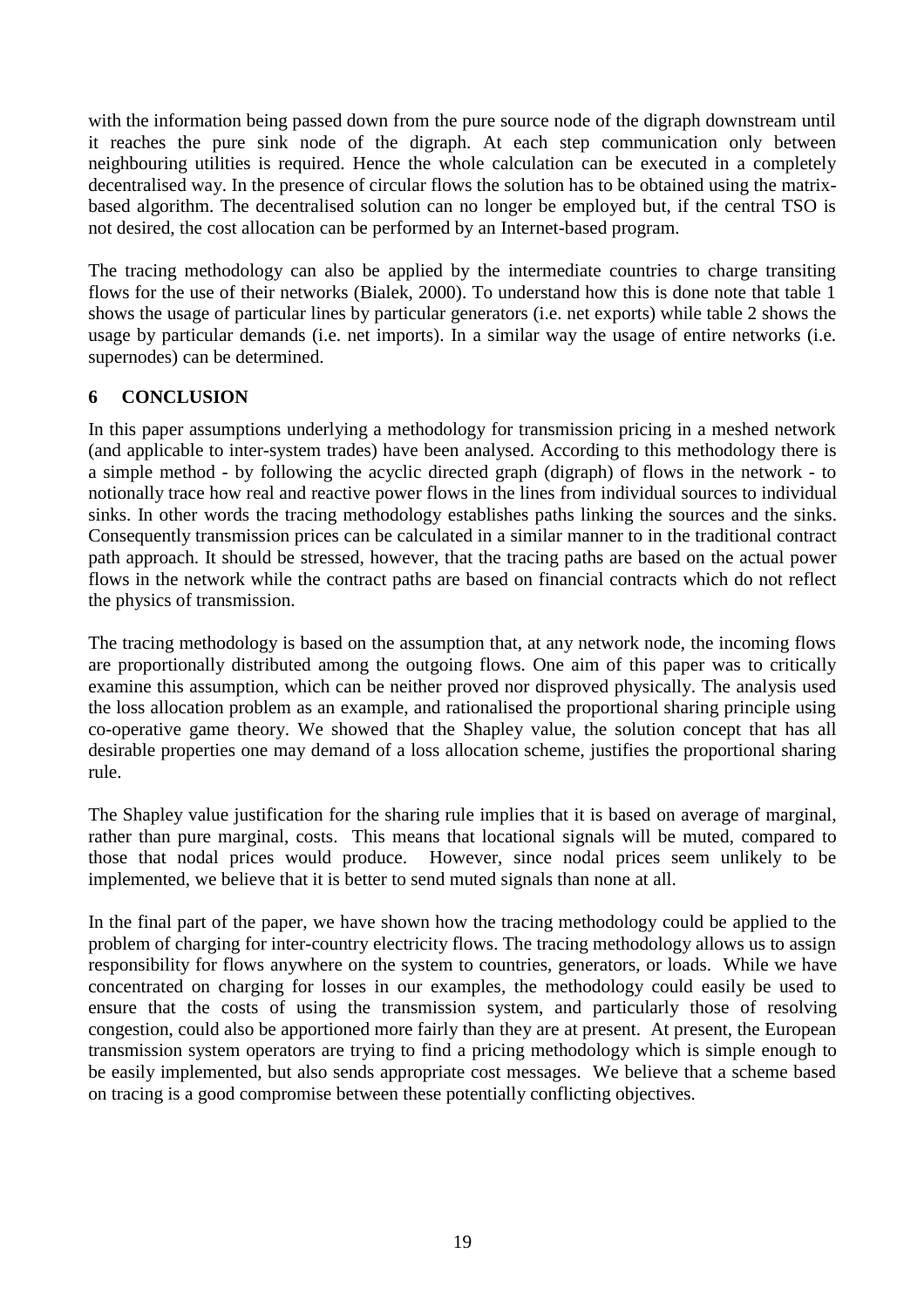with the information being passed down from the pure source node of the digraph downstream until it reaches the pure sink node of the digraph. At each step communication only between neighbouring utilities is required. Hence the whole calculation can be executed in a completely decentralised way. In the presence of circular flows the solution has to be obtained using the matrixbased algorithm. The decentralised solution can no longer be employed but, if the central TSO is not desired, the cost allocation can be performed by an Internet-based program.

The tracing methodology can also be applied by the intermediate countries to charge transiting flows for the use of their networks (Bialek, 2000). To understand how this is done note that table 1 shows the usage of particular lines by particular generators (i.e. net exports) while table 2 shows the usage by particular demands (i.e. net imports). In a similar way the usage of entire networks (i.e. supernodes) can be determined.

# **6 CONCLUSION**

In this paper assumptions underlying a methodology for transmission pricing in a meshed network (and applicable to inter-system trades) have been analysed. According to this methodology there is a simple method - by following the acyclic directed graph (digraph) of flows in the network - to notionally trace how real and reactive power flows in the lines from individual sources to individual sinks. In other words the tracing methodology establishes paths linking the sources and the sinks. Consequently transmission prices can be calculated in a similar manner to in the traditional contract path approach. It should be stressed, however, that the tracing paths are based on the actual power flows in the network while the contract paths are based on financial contracts which do not reflect the physics of transmission.

The tracing methodology is based on the assumption that, at any network node, the incoming flows are proportionally distributed among the outgoing flows. One aim of this paper was to critically examine this assumption, which can be neither proved nor disproved physically. The analysis used the loss allocation problem as an example, and rationalised the proportional sharing principle using co-operative game theory. We showed that the Shapley value, the solution concept that has all desirable properties one may demand of a loss allocation scheme, justifies the proportional sharing rule.

The Shapley value justification for the sharing rule implies that it is based on average of marginal, rather than pure marginal, costs. This means that locational signals will be muted, compared to those that nodal prices would produce. However, since nodal prices seem unlikely to be implemented, we believe that it is better to send muted signals than none at all.

In the final part of the paper, we have shown how the tracing methodology could be applied to the problem of charging for inter-country electricity flows. The tracing methodology allows us to assign responsibility for flows anywhere on the system to countries, generators, or loads. While we have concentrated on charging for losses in our examples, the methodology could easily be used to ensure that the costs of using the transmission system, and particularly those of resolving congestion, could also be apportioned more fairly than they are at present. At present, the European transmission system operators are trying to find a pricing methodology which is simple enough to be easily implemented, but also sends appropriate cost messages. We believe that a scheme based on tracing is a good compromise between these potentially conflicting objectives.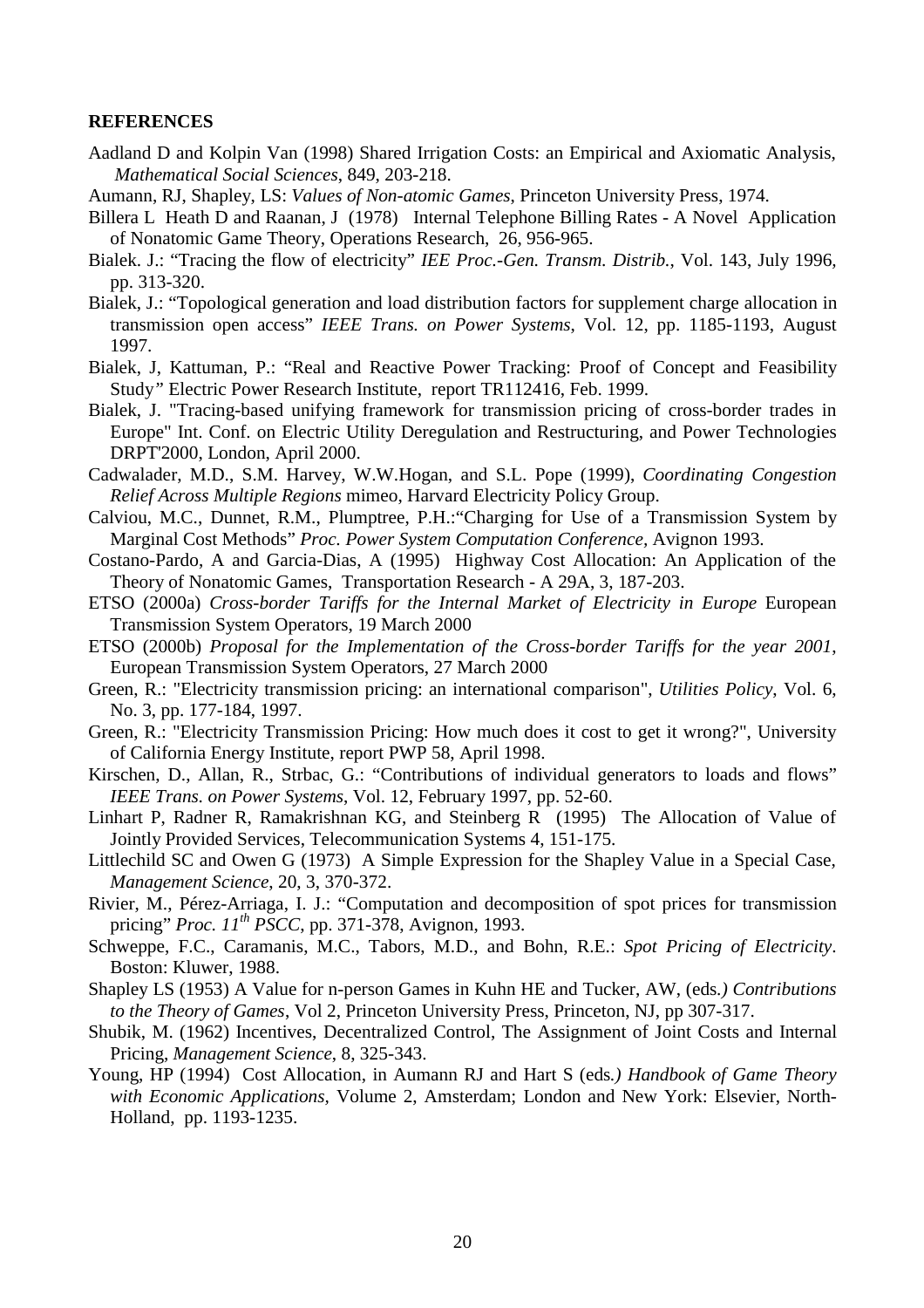#### **REFERENCES**

- Aadland D and Kolpin Van (1998) Shared Irrigation Costs: an Empirical and Axiomatic Analysis, *Mathematical Social Sciences*, 849, 203-218.
- Aumann, RJ, Shapley, LS: *Values of Non-atomic Games*, Princeton University Press, 1974.
- Billera L Heath D and Raanan, J (1978) Internal Telephone Billing Rates A Novel Application of Nonatomic Game Theory, Operations Research, 26, 956-965.
- Bialek. J.: "Tracing the flow of electricity" *IEE Proc.-Gen. Transm. Distrib.*, Vol. 143, July 1996*,* pp. 313-320.
- Bialek, J.: "Topological generation and load distribution factors for supplement charge allocation in transmission open access" *IEEE Trans. on Power Systems*, Vol. 12, pp. 1185-1193, August 1997.
- Bialek, J, Kattuman, P.: "Real and Reactive Power Tracking: Proof of Concept and Feasibility Study*"* Electric Power Research Institute, report TR112416, Feb. 1999.
- Bialek, J. "Tracing-based unifying framework for transmission pricing of cross-border trades in Europe" Int. Conf. on Electric Utility Deregulation and Restructuring, and Power Technologies DRPT'2000, London, April 2000.
- Cadwalader, M.D., S.M. Harvey, W.W.Hogan, and S.L. Pope (1999), *Coordinating Congestion Relief Across Multiple Regions* mimeo, Harvard Electricity Policy Group.
- Calviou, M.C., Dunnet, R.M., Plumptree, P.H.:"Charging for Use of a Transmission System by Marginal Cost Methods" *Proc. Power System Computation Conference,* Avignon 1993.
- Costano-Pardo, A and Garcia-Dias, A (1995) Highway Cost Allocation: An Application of the Theory of Nonatomic Games, Transportation Research - A 29A, 3, 187-203.
- ETSO (2000a) *Cross-border Tariffs for the Internal Market of Electricity in Europe* European Transmission System Operators, 19 March 2000
- ETSO (2000b) *Proposal for the Implementation of the Cross-border Tariffs for the year 2001*, European Transmission System Operators, 27 March 2000
- Green, R.: "Electricity transmission pricing: an international comparison", *Utilities Policy*, Vol. 6, No. 3, pp. 177-184, 1997.
- Green, R.: "Electricity Transmission Pricing: How much does it cost to get it wrong?", University of California Energy Institute, report PWP 58, April 1998.
- Kirschen, D., Allan, R., Strbac, G.: "Contributions of individual generators to loads and flows" *IEEE Trans. on Power Systems*, Vol. 12, February 1997, pp. 52-60.
- Linhart P, Radner R, Ramakrishnan KG, and Steinberg R (1995) The Allocation of Value of Jointly Provided Services, Telecommunication Systems 4, 151-175.
- Littlechild SC and Owen G (1973) A Simple Expression for the Shapley Value in a Special Case, *Management Science*, 20, 3, 370-372.
- Rivier, M., Pérez-Arriaga, I. J.: "Computation and decomposition of spot prices for transmission pricing" *Proc. 11th PSCC*, pp. 371-378, Avignon, 1993.
- Schweppe, F.C., Caramanis, M.C., Tabors, M.D., and Bohn, R.E.: *Spot Pricing of Electricity*. Boston: Kluwer, 1988.
- Shapley LS (1953) A Value for n-person Games in Kuhn HE and Tucker, AW, (eds*.) Contributions to the Theory of Games*, Vol 2, Princeton University Press, Princeton, NJ, pp 307-317.
- Shubik, M. (1962) Incentives, Decentralized Control, The Assignment of Joint Costs and Internal Pricing, *Management Science*, 8, 325-343.
- Young, HP (1994) Cost Allocation, in Aumann RJ and Hart S (eds*.) Handbook of Game Theory with Economic Applications,* Volume 2, Amsterdam; London and New York: Elsevier, North-Holland, pp. 1193-1235.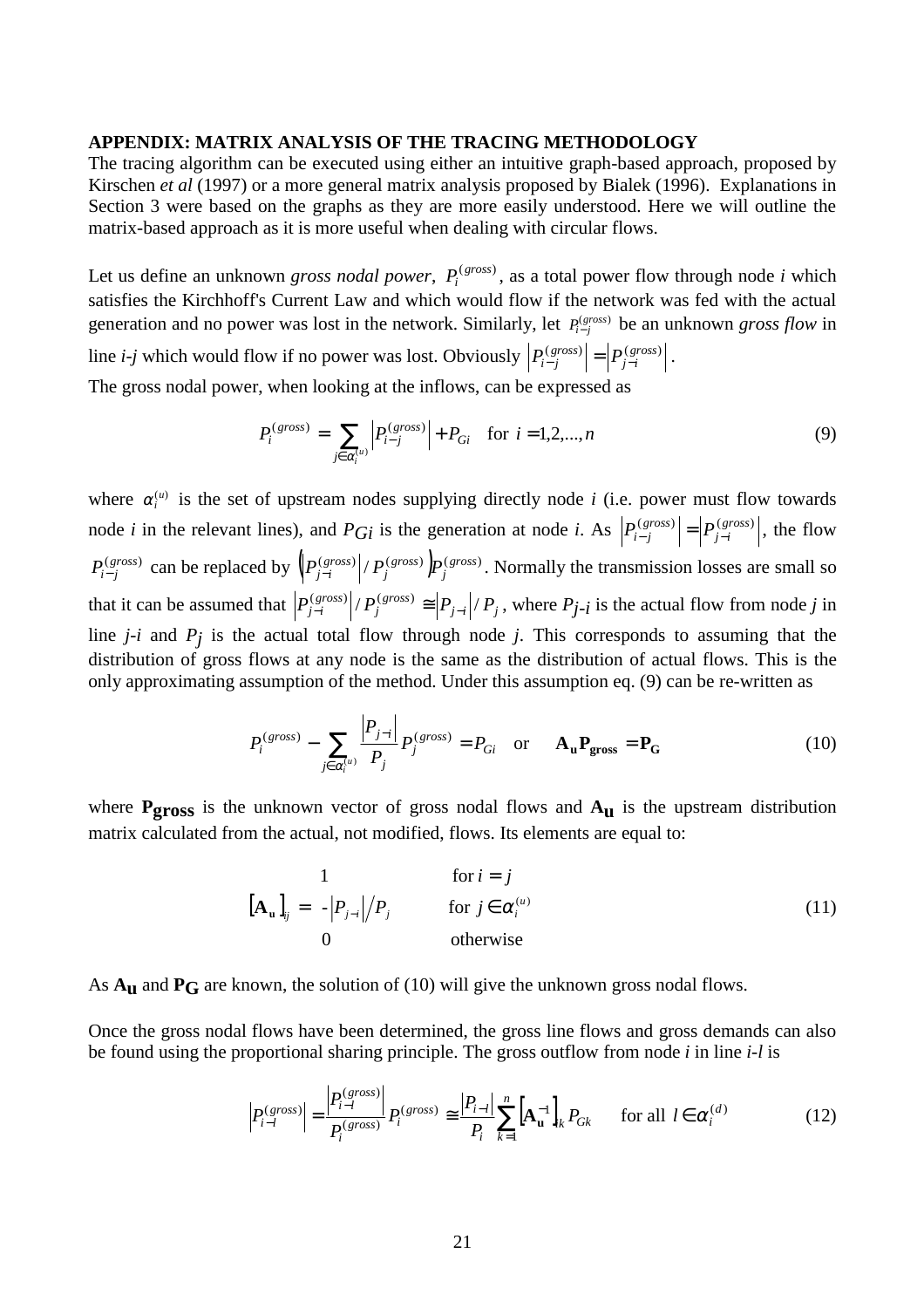#### **APPENDIX: MATRIX ANALYSIS OF THE TRACING METHODOLOGY**

The tracing algorithm can be executed using either an intuitive graph-based approach, proposed by Kirschen *et al* (1997) or a more general matrix analysis proposed by Bialek (1996). Explanations in Section 3 were based on the graphs as they are more easily understood. Here we will outline the matrix-based approach as it is more useful when dealing with circular flows.

Let us define an unknown *gross nodal power*,  $P_i^{(gross)}$ , as a total power flow through node *i* which satisfies the Kirchhoff's Current Law and which would flow if the network was fed with the actual generation and no power was lost in the network. Similarly, let  $P_{i-j}^{(gross)}$  be an unknown *gross flow* in line *i-j* which would flow if no power was lost. Obviously  $\left| P_{i-j}^{(gross)} \right| = \left| P_{i-j}^{(gross)} \right|$ *j i*  $\begin{vmatrix} (gross) \\ -j \end{vmatrix} = P\begin{vmatrix} gross) \\ j-i \end{vmatrix}$ .

The gross nodal power, when looking at the inflows, can be expressed as

$$
P_i^{(gross)} = \sum_{j \in \alpha_i^{(u)}} \left| P_{i-j}^{(gross)} \right| + P_{Gi} \quad \text{for } i = 1, 2, ..., n
$$
 (9)

where  $\alpha_i^{(u)}$  is the set of upstream nodes supplying directly node *i* (i.e. power must flow towards node *i* in the relevant lines), and  $P_{Gi}$  is the generation at node *i*. As  $\left| P_{i-j}^{(gross)} \right| = \left| P_{j-i}^{(gross)} \right|$ , the flow  $P_{i-j}^{(gross)}$  can be replaced by  $\left|P_{j-i}^{(gross)}\right|/P_j^{(gross)}P_j^{(gross)}$ *gross*  $P_{j-i}^{(gross)} \sim P_j^{(gross)} P_j^{(gross)}$ . Normally the transmission losses are small so that it can be assumed that  $\left| P_{j-i}^{(gross)} \right| / P_j^{(gross)} \cong \left| P_{j-i} \right| / P_j$  $P_{j-i}^{(gross)} \sim |P_j^{(gross)} \cong |P_{j-i}|/P_j$ , where  $P_{j-i}$  is the actual flow from node *j* in line *j-i* and *Pj* is the actual total flow through node *j*. This corresponds to assuming that the distribution of gross flows at any node is the same as the distribution of actual flows. This is the only approximating assumption of the method. Under this assumption eq. (9) can be re-written as

$$
P_i^{(gross)} - \sum_{j \in \alpha_i^{(u)}} \frac{\left| P_{j-i} \right|}{P_j} P_j^{(gross)} = P_{Gi} \quad \text{or} \quad \mathbf{A_u} \mathbf{P_{gross}} = \mathbf{P_G}
$$
 (10)

where **Pgross** is the unknown vector of gross nodal flows and  $A_{\mathbf{u}}$  is the upstream distribution matrix calculated from the actual, not modified, flows. Its elements are equal to:

$$
\begin{bmatrix} \mathbf{A}_{\mathbf{u}} \end{bmatrix}_{ij} = \begin{cases} 1 & \text{for } i = j \\ -|P_{j-i}|/P_j & \text{for } j \in \alpha_i^{(u)} \\ 0 & \text{otherwise} \end{cases} \tag{11}
$$

As **Au** and **PG** are known, the solution of (10) will give the unknown gross nodal flows.

Once the gross nodal flows have been determined, the gross line flows and gross demands can also be found using the proportional sharing principle. The gross outflow from node *i* in line *i-l* is

$$
\left| P_{i-l}^{(gross)} \right| = \frac{\left| P_{i-l}^{(gross)} \right|}{P_i^{(gross)}} P_i^{(gross)} \cong \frac{\left| P_{i-l} \right|}{P_i} \sum_{k=1}^n \left[ \mathbf{A}_{\mathbf{u}}^{-1} \right]_k P_{Gk} \quad \text{for all } l \in \alpha_i^{(d)}
$$
(12)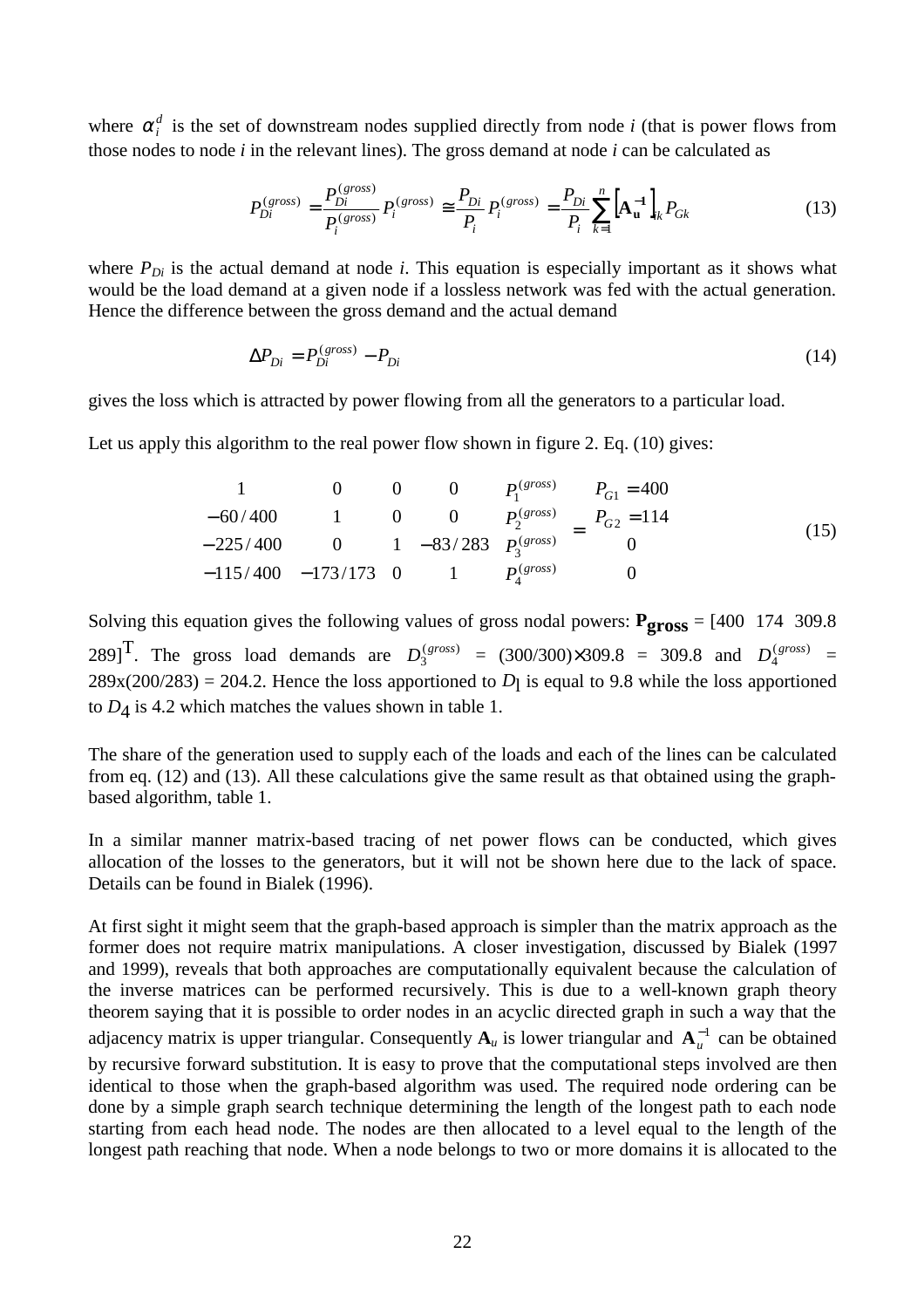where  $\alpha_i^d$  is the set of downstream nodes supplied directly from node *i* (that is power flows from those nodes to node *i* in the relevant lines). The gross demand at node *i* can be calculated as

$$
P_{Di}^{(gross)} = \frac{P_{Di}^{(gross)}}{P_i^{(gross)}} P_i^{(gross)} \cong \frac{P_{Di}}{P_i} P_i^{(gross)} = \frac{P_{Di}}{P_i} \sum_{k=1}^{n} \left[ \mathbf{A}_{\mathbf{u}}^{-1} \right]_{ik} P_{Gk}
$$
(13)

where  $P_{Di}$  is the actual demand at node *i*. This equation is especially important as it shows what would be the load demand at a given node if a lossless network was fed with the actual generation. Hence the difference between the gross demand and the actual demand

$$
\Delta P_{Di} = P_{Di}^{(gross)} - P_{Di} \tag{14}
$$

gives the loss which is attracted by power flowing from all the generators to a particular load.

Let us apply this algorithm to the real power flow shown in figure 2. Eq. (10) gives:

$$
\begin{bmatrix} 1 & 0 & 0 & 0 \ -60/400 & 1 & 0 & 0 \ -225/400 & 0 & 1 & -83/283 \ -115/400 & -173/173 & 0 & 1 \end{bmatrix} \begin{bmatrix} P_1^{(gross)} \\ P_2^{(gross)} \\ P_3^{(gross)} \\ P_4^{(gross)} \end{bmatrix} = \begin{bmatrix} P_{G1} = 400 \\ P_{G2} = 114 \\ 0 \\ 0 \end{bmatrix}
$$
(15)

Solving this equation gives the following values of gross nodal powers: **Pgross** = [400 174 309.8 289]<sup>T</sup>. The gross load demands are  $D_3^{(gross)} = (300/300) \times 309.8 = 309.8$  and  $D_4^{(gross)} =$  $289x(200/283) = 204.2$ . Hence the loss apportioned to *D*<sub>l</sub> is equal to 9.8 while the loss apportioned to *D*4 is 4.2 which matches the values shown in table 1.

The share of the generation used to supply each of the loads and each of the lines can be calculated from eq. (12) and (13). All these calculations give the same result as that obtained using the graphbased algorithm, table 1.

In a similar manner matrix-based tracing of net power flows can be conducted, which gives allocation of the losses to the generators, but it will not be shown here due to the lack of space. Details can be found in Bialek (1996).

At first sight it might seem that the graph-based approach is simpler than the matrix approach as the former does not require matrix manipulations. A closer investigation, discussed by Bialek (1997 and 1999), reveals that both approaches are computationally equivalent because the calculation of the inverse matrices can be performed recursively. This is due to a well-known graph theory theorem saying that it is possible to order nodes in an acyclic directed graph in such a way that the adjacency matrix is upper triangular. Consequently  $A_u$  is lower triangular and  $A_u^{-1}$  can be obtained by recursive forward substitution. It is easy to prove that the computational steps involved are then identical to those when the graph-based algorithm was used. The required node ordering can be done by a simple graph search technique determining the length of the longest path to each node starting from each head node. The nodes are then allocated to a level equal to the length of the longest path reaching that node. When a node belongs to two or more domains it is allocated to the